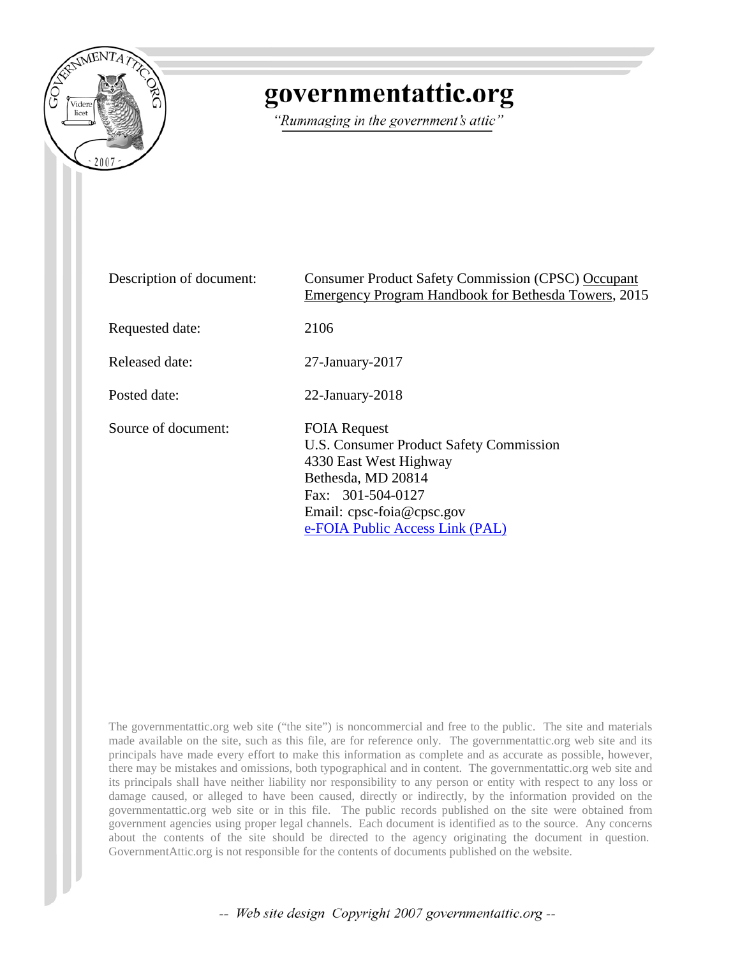

# governmentattic.org

"Rummaging in the government's attic"

| Description of document: | <b>Consumer Product Safety Commission (CPSC) Occupant</b><br>Emergency Program Handbook for Bethesda Towers, 2015                                                                                   |
|--------------------------|-----------------------------------------------------------------------------------------------------------------------------------------------------------------------------------------------------|
| Requested date:          | 2106                                                                                                                                                                                                |
| Released date:           | $27$ -January- $2017$                                                                                                                                                                               |
| Posted date:             | $22$ -January- $2018$                                                                                                                                                                               |
| Source of document:      | <b>FOIA Request</b><br>U.S. Consumer Product Safety Commission<br>4330 East West Highway<br>Bethesda, MD 20814<br>Fax: 301-504-0127<br>Email: cpsc-foia@cpsc.gov<br>e-FOIA Public Access Link (PAL) |

The governmentattic.org web site ("the site") is noncommercial and free to the public. The site and materials made available on the site, such as this file, are for reference only. The governmentattic.org web site and its principals have made every effort to make this information as complete and as accurate as possible, however, there may be mistakes and omissions, both typographical and in content. The governmentattic.org web site and its principals shall have neither liability nor responsibility to any person or entity with respect to any loss or damage caused, or alleged to have been caused, directly or indirectly, by the information provided on the governmentattic.org web site or in this file. The public records published on the site were obtained from government agencies using proper legal channels. Each document is identified as to the source. Any concerns about the contents of the site should be directed to the agency originating the document in question. GovernmentAttic.org is not responsible for the contents of documents published on the website.

-- Web site design Copyright 2007 governmentattic.org --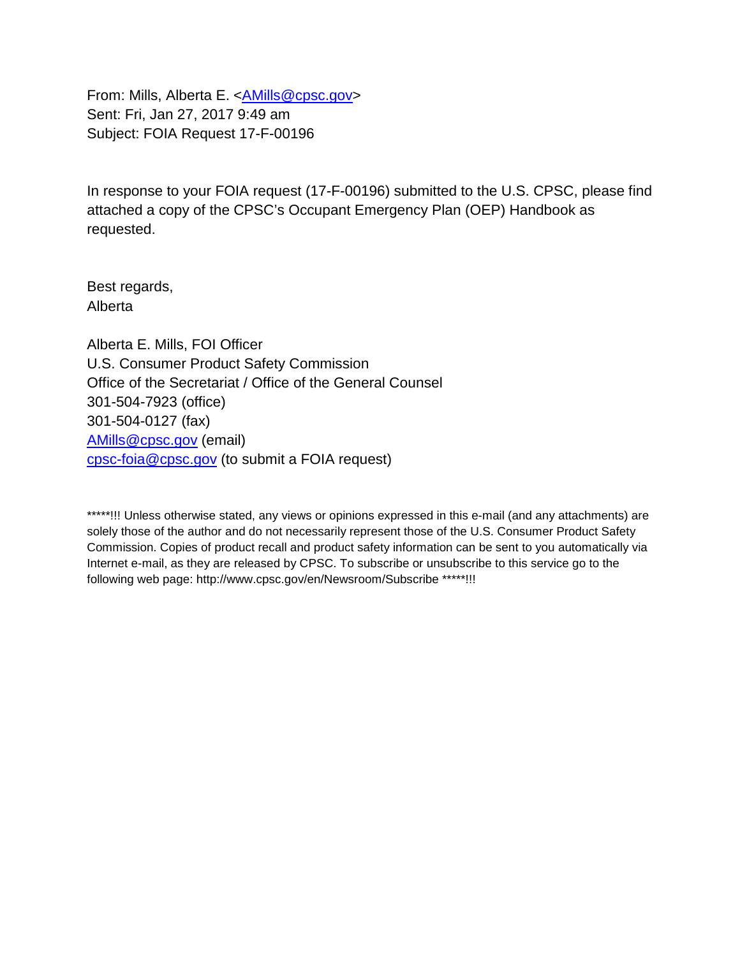From: Mills, Alberta E. [<AMills@cpsc.gov>](mailto:AMills@cpsc.gov) Sent: Fri, Jan 27, 2017 9:49 am Subject: FOIA Request 17-F-00196

In response to your FOIA request (17-F-00196) submitted to the U.S. CPSC, please find attached a copy of the CPSC's Occupant Emergency Plan (OEP) Handbook as requested.

Best regards, Alberta

Alberta E. Mills, FOI Officer U.S. Consumer Product Safety Commission Office of the Secretariat / Office of the General Counsel 301-504-7923 (office) 301-504-0127 (fax) [AMills@cpsc.gov](mailto:AMills@cpsc.gov) (email) [cpsc-foia@cpsc.gov](mailto:cpsc-foia@cpsc.gov?subject=FOIA%20Request) (to submit a FOIA request)

\*\*\*\*\*!!! Unless otherwise stated, any views or opinions expressed in this e-mail (and any attachments) are solely those of the author and do not necessarily represent those of the U.S. Consumer Product Safety Commission. Copies of product recall and product safety information can be sent to you automatically via Internet e-mail, as they are released by CPSC. To subscribe or unsubscribe to this service go to the following web page: http://www.cpsc.gov/en/Newsroom/Subscribe \*\*\*\*\*!!!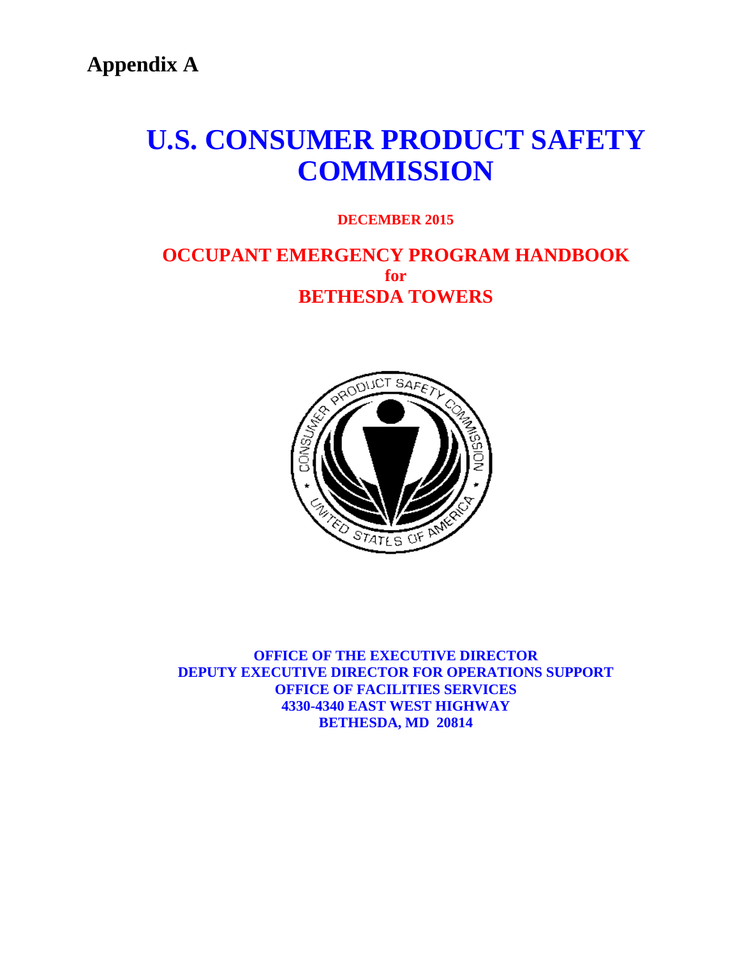**Appendix A**

# **U.S. CONSUMER PRODUCT SAFETY COMMISSION**

# **DECEMBER 2015**

# **OCCUPANT EMERGENCY PROGRAM HANDBOOK for BETHESDA TOWERS**



**OFFICE OF THE EXECUTIVE DIRECTOR DEPUTY EXECUTIVE DIRECTOR FOR OPERATIONS SUPPORT OFFICE OF FACILITIES SERVICES 4330-4340 EAST WEST HIGHWAY BETHESDA, MD 20814**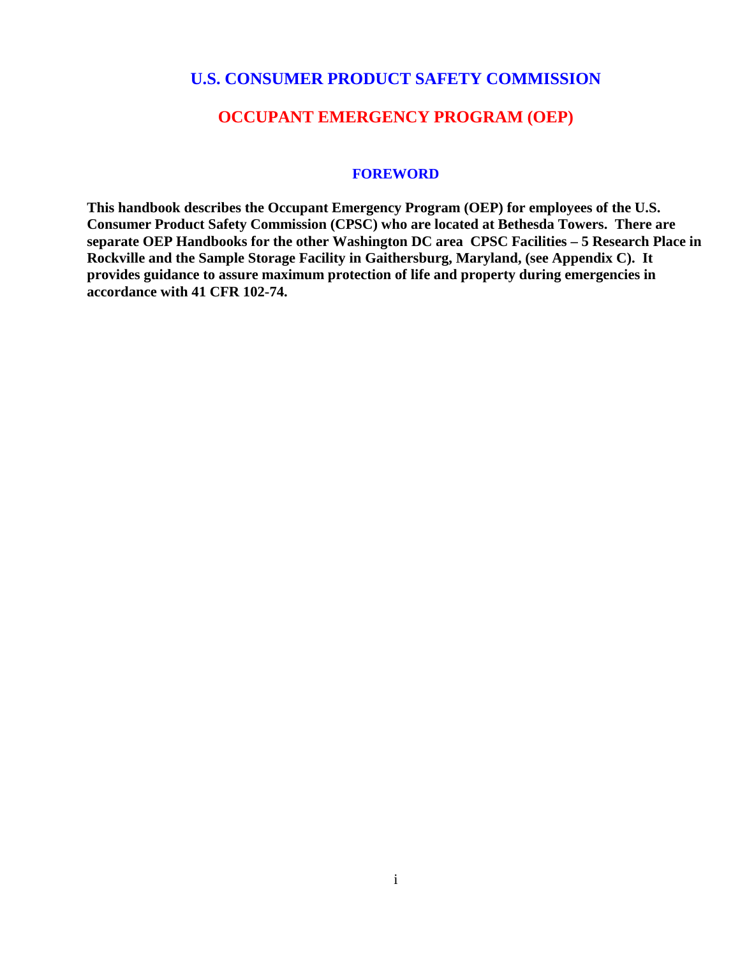# **U.S. CONSUMER PRODUCT SAFETY COMMISSION**

# **OCCUPANT EMERGENCY PROGRAM (OEP)**

#### **FOREWORD**

**This handbook describes the Occupant Emergency Program (OEP) for employees of the U.S. Consumer Product Safety Commission (CPSC) who are located at Bethesda Towers. There are separate OEP Handbooks for the other Washington DC area CPSC Facilities – 5 Research Place in Rockville and the Sample Storage Facility in Gaithersburg, Maryland, (see Appendix C). It provides guidance to assure maximum protection of life and property during emergencies in accordance with 41 CFR 102-74.**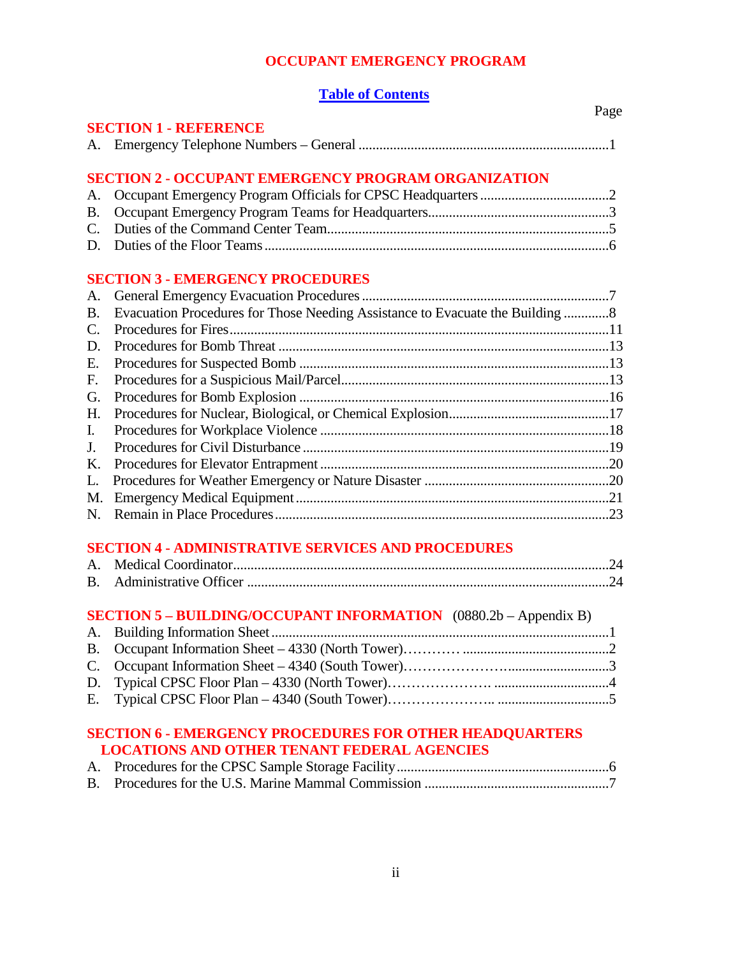#### **OCCUPANT EMERGENCY PROGRAM**

#### **Table of Contents**

|             |                                                                               | Page |
|-------------|-------------------------------------------------------------------------------|------|
|             | <b>SECTION 1 - REFERENCE</b>                                                  |      |
|             |                                                                               |      |
|             | <b>SECTION 2 - OCCUPANT EMERGENCY PROGRAM ORGANIZATION</b>                    |      |
| А.          |                                                                               |      |
| <b>B.</b>   |                                                                               |      |
| $C_{\cdot}$ |                                                                               |      |
|             |                                                                               |      |
|             | <b>SECTION 3 - EMERGENCY PROCEDURES</b>                                       |      |
| А.          |                                                                               |      |
| В.          | Evacuation Procedures for Those Needing Assistance to Evacuate the Building 8 |      |
| C.          |                                                                               |      |
| D.          |                                                                               |      |
| Е.          |                                                                               |      |
| F.          |                                                                               |      |
| G.          |                                                                               |      |
| Η.          |                                                                               |      |
| I.          |                                                                               |      |
| J.          |                                                                               |      |
| K.          |                                                                               |      |
| L.          |                                                                               |      |
| M.          |                                                                               |      |
| N.          |                                                                               |      |
|             | <b>SECTION 4 - ADMINISTRATIVE SERVICES AND PROCEDURES</b>                     |      |
| A.          |                                                                               |      |
| B.          |                                                                               |      |
|             |                                                                               |      |

# **SECTION 5 – BUILDING/OCCUPANT INFORMATION** (0880.2b – Appendix B)

# **SECTION 6 - EMERGENCY PROCEDURES FOR OTHER HEADQUARTERS LOCATIONS AND OTHER TENANT FEDERAL AGENCIES**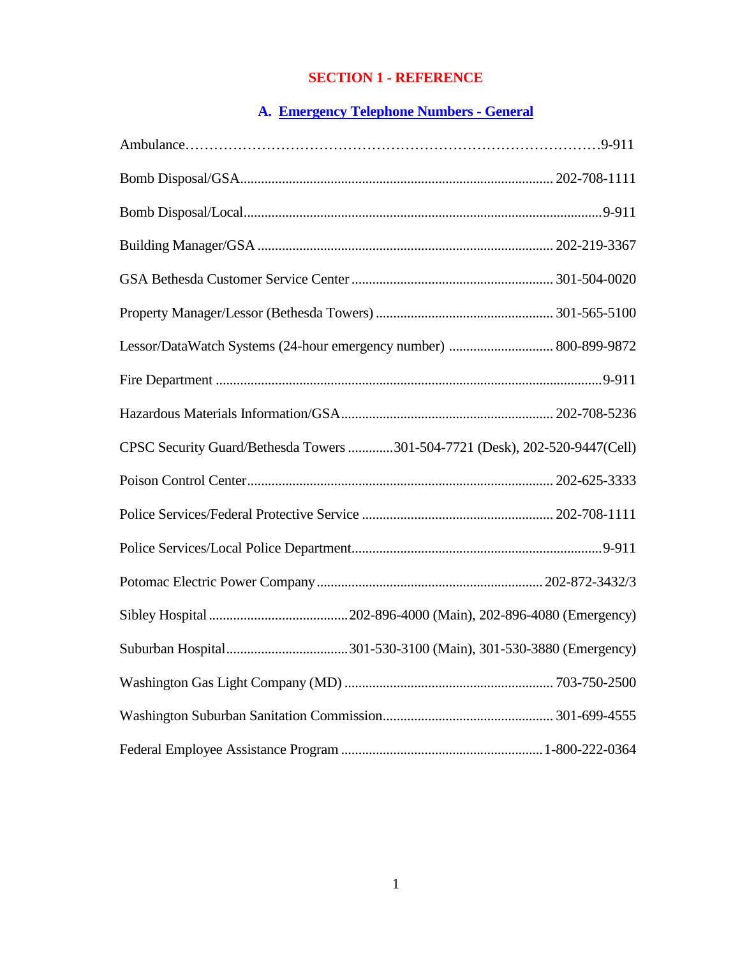# **SECTION 1 - REFERENCE**

# **A. Emergency Telephone Numbers - General**

| Lessor/DataWatch Systems (24-hour emergency number)  800-899-9872           |  |
|-----------------------------------------------------------------------------|--|
|                                                                             |  |
|                                                                             |  |
| CPSC Security Guard/Bethesda Towers 301-504-7721 (Desk), 202-520-9447(Cell) |  |
|                                                                             |  |
|                                                                             |  |
|                                                                             |  |
|                                                                             |  |
|                                                                             |  |
|                                                                             |  |
|                                                                             |  |
|                                                                             |  |
|                                                                             |  |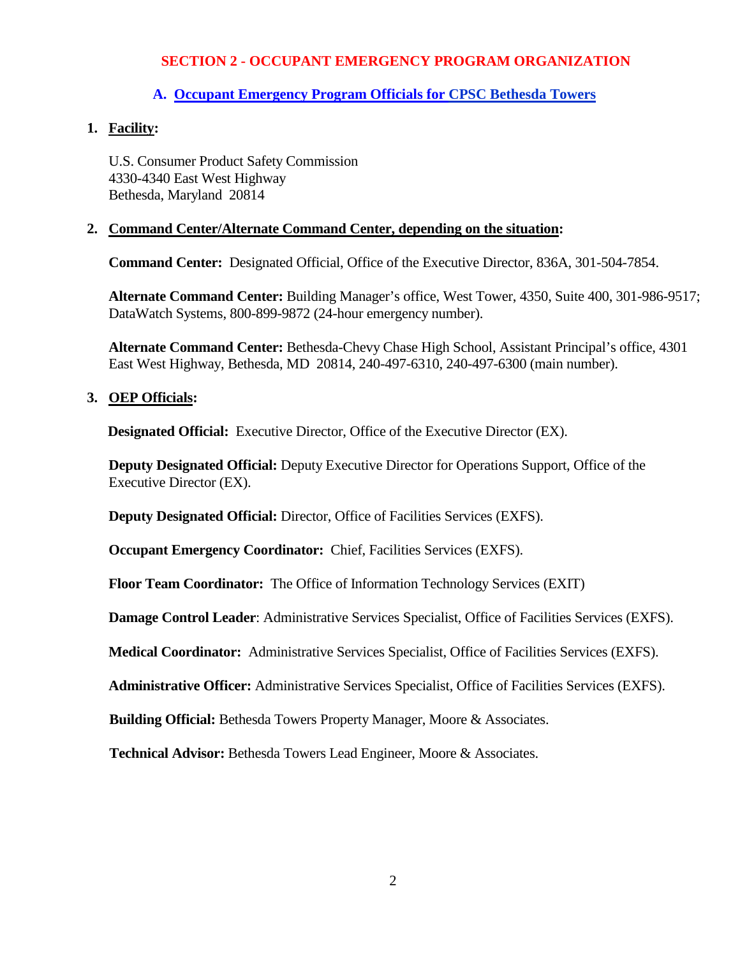#### **A. Occupant Emergency Program Officials for CPSC Bethesda Towers**

#### **1. Facility:**

U.S. Consumer Product Safety Commission 4330-4340 East West Highway Bethesda, Maryland 20814

#### **2. Command Center/Alternate Command Center, depending on the situation:**

**Command Center:** Designated Official, Office of the Executive Director, 836A, 301-504-7854.

**Alternate Command Center:** Building Manager's office, West Tower, 4350, Suite 400, 301-986-9517; DataWatch Systems, 800-899-9872 (24-hour emergency number).

**Alternate Command Center:** Bethesda-Chevy Chase High School, Assistant Principal's office, 4301 East West Highway, Bethesda, MD 20814, 240-497-6310, 240-497-6300 (main number).

#### **3. OEP Officials:**

**Designated Official:** Executive Director, Office of the Executive Director (EX).

**Deputy Designated Official:** Deputy Executive Director for Operations Support, Office of the Executive Director (EX).

**Deputy Designated Official:** Director, Office of Facilities Services (EXFS).

**Occupant Emergency Coordinator:** Chief, Facilities Services (EXFS).

**Floor Team Coordinator:** The Office of Information Technology Services (EXIT)

**Damage Control Leader**: Administrative Services Specialist, Office of Facilities Services (EXFS).

**Medical Coordinator:** Administrative Services Specialist, Office of Facilities Services (EXFS).

**Administrative Officer:** Administrative Services Specialist, Office of Facilities Services (EXFS).

**Building Official:** Bethesda Towers Property Manager, Moore & Associates.

**Technical Advisor:** Bethesda Towers Lead Engineer, Moore & Associates.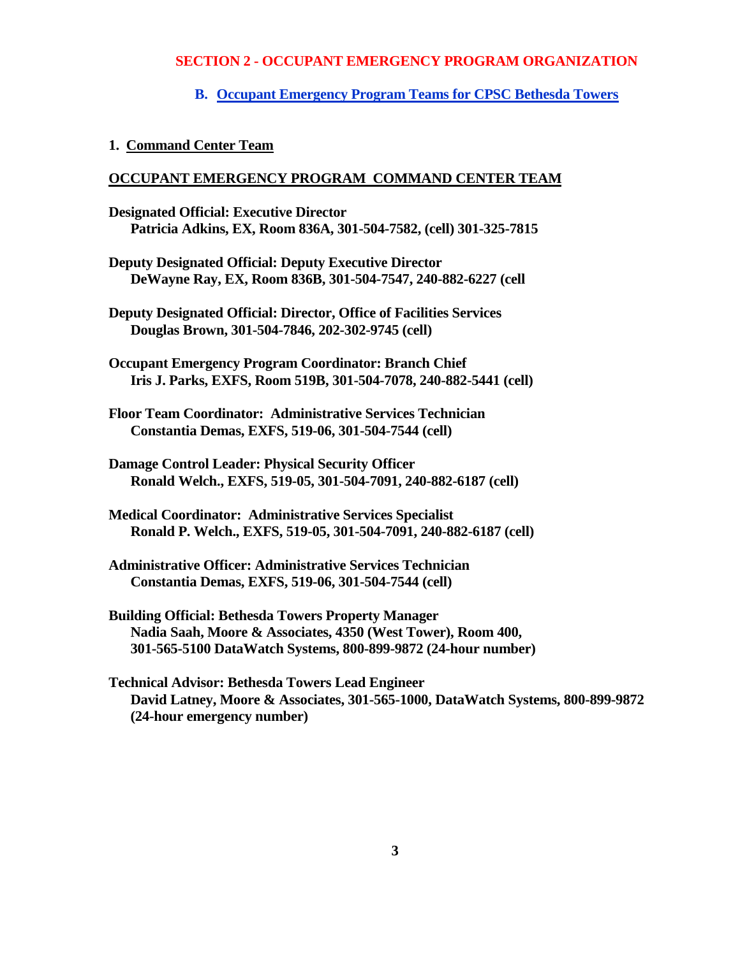#### **B. Occupant Emergency Program Teams for CPSC Bethesda Towers**

#### **1. Command Center Team**

#### **OCCUPANT EMERGENCY PROGRAM COMMAND CENTER TEAM**

- **Designated Official: Executive Director Patricia Adkins, EX, Room 836A, 301-504-7582, (cell) 301-325-7815**
- **Deputy Designated Official: Deputy Executive Director DeWayne Ray, EX, Room 836B, 301-504-7547, 240-882-6227 (cell**

**Deputy Designated Official: Director, Office of Facilities Services Douglas Brown, 301-504-7846, 202-302-9745 (cell)**

**Occupant Emergency Program Coordinator: Branch Chief Iris J. Parks, EXFS, Room 519B, 301-504-7078, 240-882-5441 (cell)**

**Floor Team Coordinator: Administrative Services Technician Constantia Demas, EXFS, 519-06, 301-504-7544 (cell)**

**Damage Control Leader: Physical Security Officer Ronald Welch., EXFS, 519-05, 301-504-7091, 240-882-6187 (cell)**

- **Medical Coordinator: Administrative Services Specialist Ronald P. Welch., EXFS, 519-05, 301-504-7091, 240-882-6187 (cell)**
- **Administrative Officer: Administrative Services Technician Constantia Demas, EXFS, 519-06, 301-504-7544 (cell)**
- **Building Official: Bethesda Towers Property Manager Nadia Saah, Moore & Associates, 4350 (West Tower), Room 400, 301-565-5100 DataWatch Systems, 800-899-9872 (24-hour number)**
- **Technical Advisor: Bethesda Towers Lead Engineer David Latney, Moore & Associates, 301-565-1000, DataWatch Systems, 800-899-9872 (24-hour emergency number)**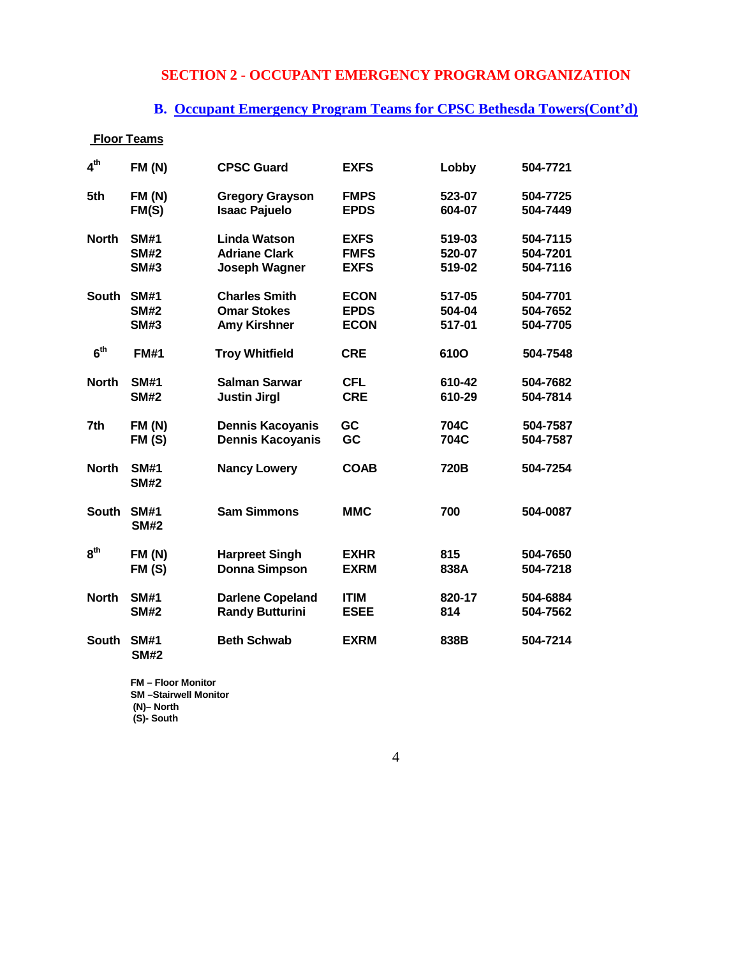# **B. Occupant Emergency Program Teams for CPSC Bethesda Towers(Cont'd)**

| <b>Floor Teams</b> |                            |                         |             |             |          |
|--------------------|----------------------------|-------------------------|-------------|-------------|----------|
| 4 <sup>th</sup>    | FM(N)                      | <b>CPSC Guard</b>       | <b>EXFS</b> | Lobby       | 504-7721 |
| 5th                | <b>FM (N)</b>              | <b>Gregory Grayson</b>  | <b>FMPS</b> | 523-07      | 504-7725 |
|                    | FM(S)                      | <b>Isaac Pajuelo</b>    | <b>EPDS</b> | 604-07      | 504-7449 |
| <b>North</b>       | <b>SM#1</b>                | <b>Linda Watson</b>     | <b>EXFS</b> | 519-03      | 504-7115 |
|                    | <b>SM#2</b>                | <b>Adriane Clark</b>    | <b>FMFS</b> | 520-07      | 504-7201 |
|                    | <b>SM#3</b>                | Joseph Wagner           | <b>EXFS</b> | 519-02      | 504-7116 |
| <b>South</b>       | <b>SM#1</b>                | <b>Charles Smith</b>    | <b>ECON</b> | 517-05      | 504-7701 |
|                    | <b>SM#2</b>                | <b>Omar Stokes</b>      | <b>EPDS</b> | 504-04      | 504-7652 |
|                    | <b>SM#3</b>                | <b>Amy Kirshner</b>     | <b>ECON</b> | 517-01      | 504-7705 |
| 6 <sup>th</sup>    | <b>FM#1</b>                | <b>Troy Whitfield</b>   | <b>CRE</b>  | <b>610O</b> | 504-7548 |
| <b>North</b>       | <b>SM#1</b>                | <b>Salman Sarwar</b>    | <b>CFL</b>  | 610-42      | 504-7682 |
|                    | <b>SM#2</b>                | <b>Justin Jirgl</b>     | <b>CRE</b>  | 610-29      | 504-7814 |
| 7th                | <b>FM (N)</b>              | <b>Dennis Kacoyanis</b> | GC          | 704C        | 504-7587 |
|                    | FM(S)                      | <b>Dennis Kacoyanis</b> | GC          | 704C        | 504-7587 |
| <b>North</b>       | <b>SM#1</b><br><b>SM#2</b> | <b>Nancy Lowery</b>     | <b>COAB</b> | 720B        | 504-7254 |
| <b>South</b>       | <b>SM#1</b><br><b>SM#2</b> | <b>Sam Simmons</b>      | <b>MMC</b>  | 700         | 504-0087 |
| 8 <sup>th</sup>    | <b>FM (N)</b>              | <b>Harpreet Singh</b>   | <b>EXHR</b> | 815         | 504-7650 |
|                    | FM(S)                      | <b>Donna Simpson</b>    | <b>EXRM</b> | 838A        | 504-7218 |
| <b>North</b>       | <b>SM#1</b>                | <b>Darlene Copeland</b> | <b>ITIM</b> | 820-17      | 504-6884 |
|                    | <b>SM#2</b>                | <b>Randy Butturini</b>  | <b>ESEE</b> | 814         | 504-7562 |
| <b>South</b>       | <b>SM#1</b><br><b>SM#2</b> | <b>Beth Schwab</b>      | <b>EXRM</b> | 838B        | 504-7214 |

**FM – Floor Monitor SM –Stairwell Monitor (N)– North (S)- South**

4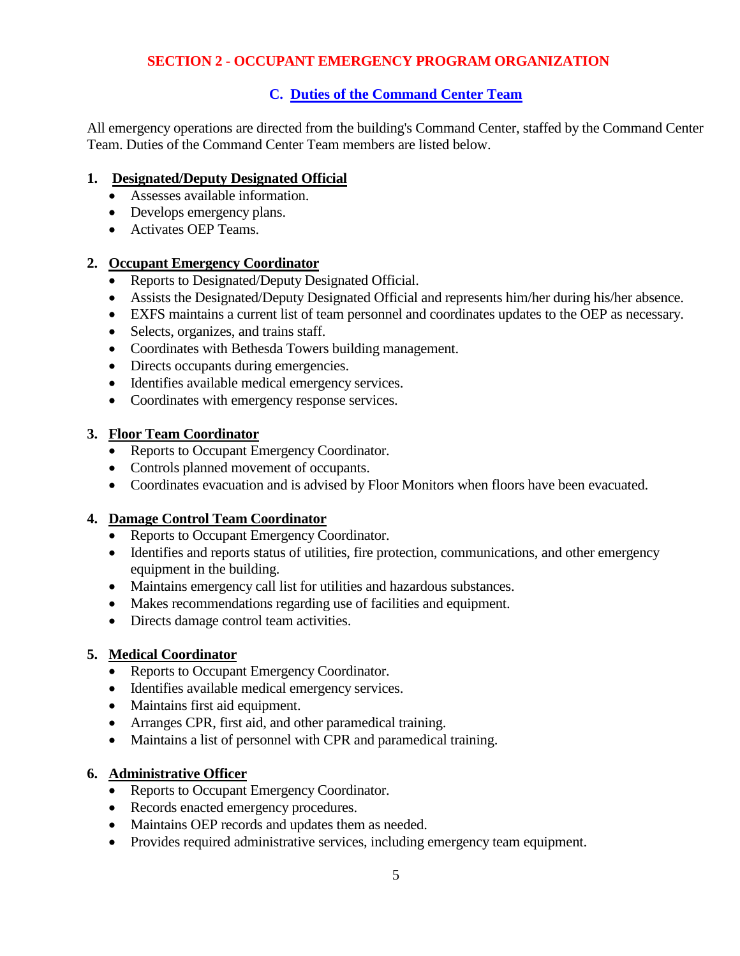# **C. Duties of the Command Center Team**

All emergency operations are directed from the building's Command Center, staffed by the Command Center Team. Duties of the Command Center Team members are listed below.

## **1. Designated/Deputy Designated Official**

- Assesses available information.
- Develops emergency plans.
- Activates OEP Teams.

# **2. Occupant Emergency Coordinator**

- Reports to Designated/Deputy Designated Official.
- Assists the Designated/Deputy Designated Official and represents him/her during his/her absence.
- EXFS maintains a current list of team personnel and coordinates updates to the OEP as necessary.
- Selects, organizes, and trains staff.
- Coordinates with Bethesda Towers building management.
- Directs occupants during emergencies.
- Identifies available medical emergency services.
- Coordinates with emergency response services.

## **3. Floor Team Coordinator**

- Reports to Occupant Emergency Coordinator.
- Controls planned movement of occupants.
- Coordinates evacuation and is advised by Floor Monitors when floors have been evacuated.

## **4. Damage Control Team Coordinator**

- Reports to Occupant Emergency Coordinator.
- Identifies and reports status of utilities, fire protection, communications, and other emergency equipment in the building.
- Maintains emergency call list for utilities and hazardous substances.
- Makes recommendations regarding use of facilities and equipment.
- Directs damage control team activities.

# **5. Medical Coordinator**

- Reports to Occupant Emergency Coordinator.
- Identifies available medical emergency services.
- Maintains first aid equipment.
- Arranges CPR, first aid, and other paramedical training.
- Maintains a list of personnel with CPR and paramedical training.

# **6. Administrative Officer**

- Reports to Occupant Emergency Coordinator.
- Records enacted emergency procedures.
- Maintains OEP records and updates them as needed.
- Provides required administrative services, including emergency team equipment.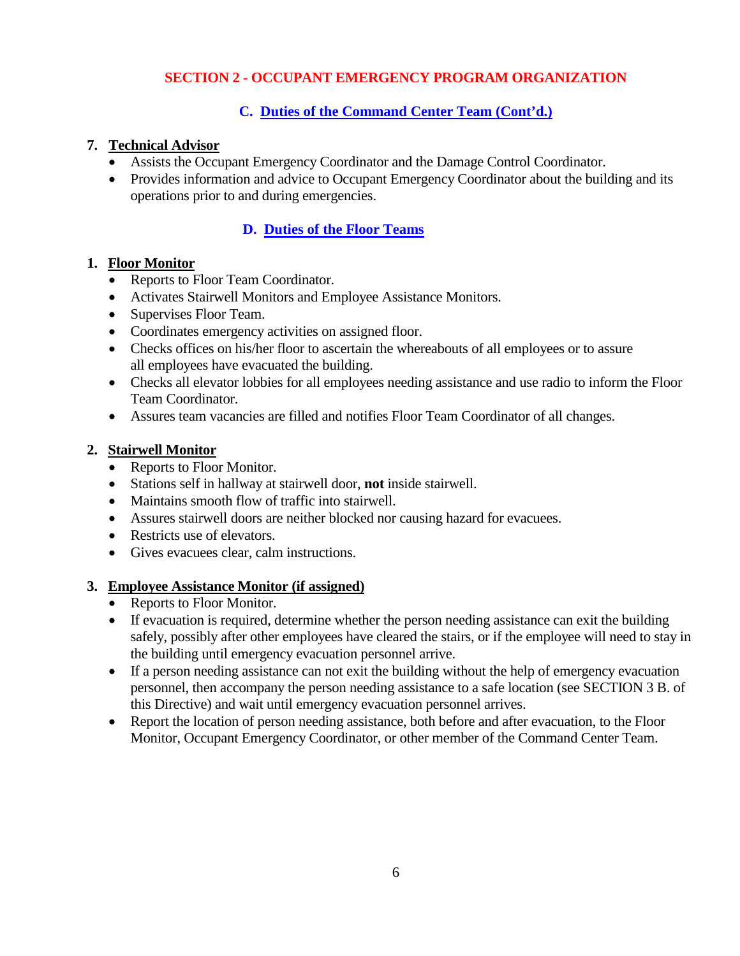# **C. Duties of the Command Center Team (Cont'd.)**

#### **7. Technical Advisor**

- Assists the Occupant Emergency Coordinator and the Damage Control Coordinator.
- Provides information and advice to Occupant Emergency Coordinator about the building and its operations prior to and during emergencies.

# **D. Duties of the Floor Teams**

#### **1. Floor Monitor**

- Reports to Floor Team Coordinator.
- Activates Stairwell Monitors and Employee Assistance Monitors.
- Supervises Floor Team.
- Coordinates emergency activities on assigned floor.
- Checks offices on his/her floor to ascertain the whereabouts of all employees or to assure all employees have evacuated the building.
- Checks all elevator lobbies for all employees needing assistance and use radio to inform the Floor Team Coordinator.
- Assures team vacancies are filled and notifies Floor Team Coordinator of all changes.

#### **2. Stairwell Monitor**

- Reports to Floor Monitor.
- Stations self in hallway at stairwell door, **not** inside stairwell.
- Maintains smooth flow of traffic into stairwell.
- Assures stairwell doors are neither blocked nor causing hazard for evacuees.
- Restricts use of elevators.
- Gives evacuees clear, calm instructions.

#### **3. Employee Assistance Monitor (if assigned)**

- Reports to Floor Monitor.
- If evacuation is required, determine whether the person needing assistance can exit the building safely, possibly after other employees have cleared the stairs, or if the employee will need to stay in the building until emergency evacuation personnel arrive.
- If a person needing assistance can not exit the building without the help of emergency evacuation personnel, then accompany the person needing assistance to a safe location (see SECTION 3 B. of this Directive) and wait until emergency evacuation personnel arrives.
- Report the location of person needing assistance, both before and after evacuation, to the Floor Monitor, Occupant Emergency Coordinator, or other member of the Command Center Team.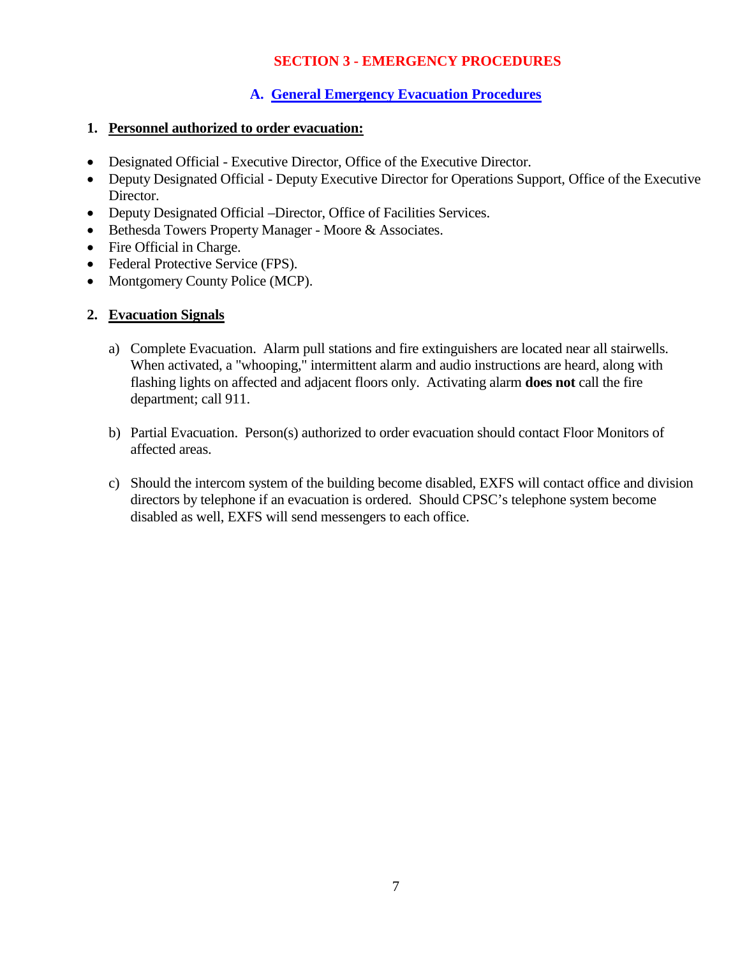# **A. General Emergency Evacuation Procedures**

#### **1. Personnel authorized to order evacuation:**

- Designated Official Executive Director, Office of the Executive Director.
- Deputy Designated Official Deputy Executive Director for Operations Support, Office of the Executive Director.
- Deputy Designated Official –Director, Office of Facilities Services.
- Bethesda Towers Property Manager Moore & Associates.
- Fire Official in Charge.
- Federal Protective Service (FPS).
- Montgomery County Police (MCP).

#### **2. Evacuation Signals**

- a) Complete Evacuation. Alarm pull stations and fire extinguishers are located near all stairwells. When activated, a "whooping," intermittent alarm and audio instructions are heard, along with flashing lights on affected and adjacent floors only. Activating alarm **does not** call the fire department; call 911.
- b) Partial Evacuation. Person(s) authorized to order evacuation should contact Floor Monitors of affected areas.
- c) Should the intercom system of the building become disabled, EXFS will contact office and division directors by telephone if an evacuation is ordered. Should CPSC's telephone system become disabled as well, EXFS will send messengers to each office.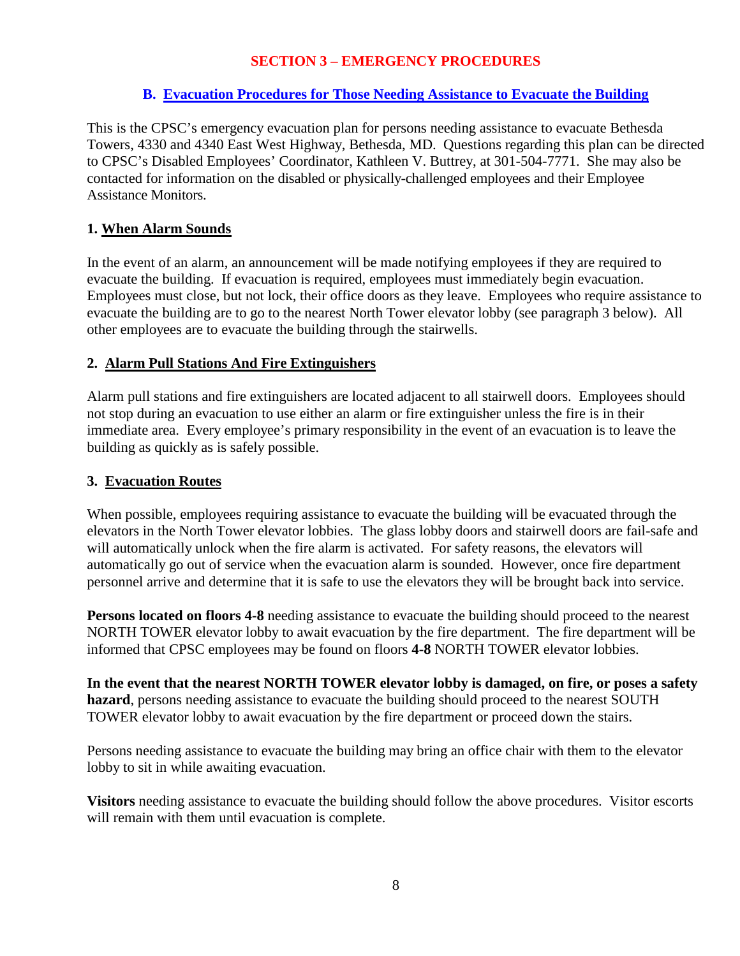# **B. Evacuation Procedures for Those Needing Assistance to Evacuate the Building**

This is the CPSC's emergency evacuation plan for persons needing assistance to evacuate Bethesda Towers, 4330 and 4340 East West Highway, Bethesda, MD. Questions regarding this plan can be directed to CPSC's Disabled Employees' Coordinator, Kathleen V. Buttrey, at 301-504-7771. She may also be contacted for information on the disabled or physically-challenged employees and their Employee Assistance Monitors.

# **1. When Alarm Sounds**

In the event of an alarm, an announcement will be made notifying employees if they are required to evacuate the building. If evacuation is required, employees must immediately begin evacuation. Employees must close, but not lock, their office doors as they leave. Employees who require assistance to evacuate the building are to go to the nearest North Tower elevator lobby (see paragraph 3 below). All other employees are to evacuate the building through the stairwells.

# **2. Alarm Pull Stations And Fire Extinguishers**

Alarm pull stations and fire extinguishers are located adjacent to all stairwell doors. Employees should not stop during an evacuation to use either an alarm or fire extinguisher unless the fire is in their immediate area. Every employee's primary responsibility in the event of an evacuation is to leave the building as quickly as is safely possible.

# **3. Evacuation Routes**

When possible, employees requiring assistance to evacuate the building will be evacuated through the elevators in the North Tower elevator lobbies. The glass lobby doors and stairwell doors are fail-safe and will automatically unlock when the fire alarm is activated. For safety reasons, the elevators will automatically go out of service when the evacuation alarm is sounded. However, once fire department personnel arrive and determine that it is safe to use the elevators they will be brought back into service.

**Persons located on floors 4-8** needing assistance to evacuate the building should proceed to the nearest NORTH TOWER elevator lobby to await evacuation by the fire department. The fire department will be informed that CPSC employees may be found on floors **4-8** NORTH TOWER elevator lobbies.

**In the event that the nearest NORTH TOWER elevator lobby is damaged, on fire, or poses a safety hazard**, persons needing assistance to evacuate the building should proceed to the nearest SOUTH TOWER elevator lobby to await evacuation by the fire department or proceed down the stairs.

Persons needing assistance to evacuate the building may bring an office chair with them to the elevator lobby to sit in while awaiting evacuation.

**Visitors** needing assistance to evacuate the building should follow the above procedures. Visitor escorts will remain with them until evacuation is complete.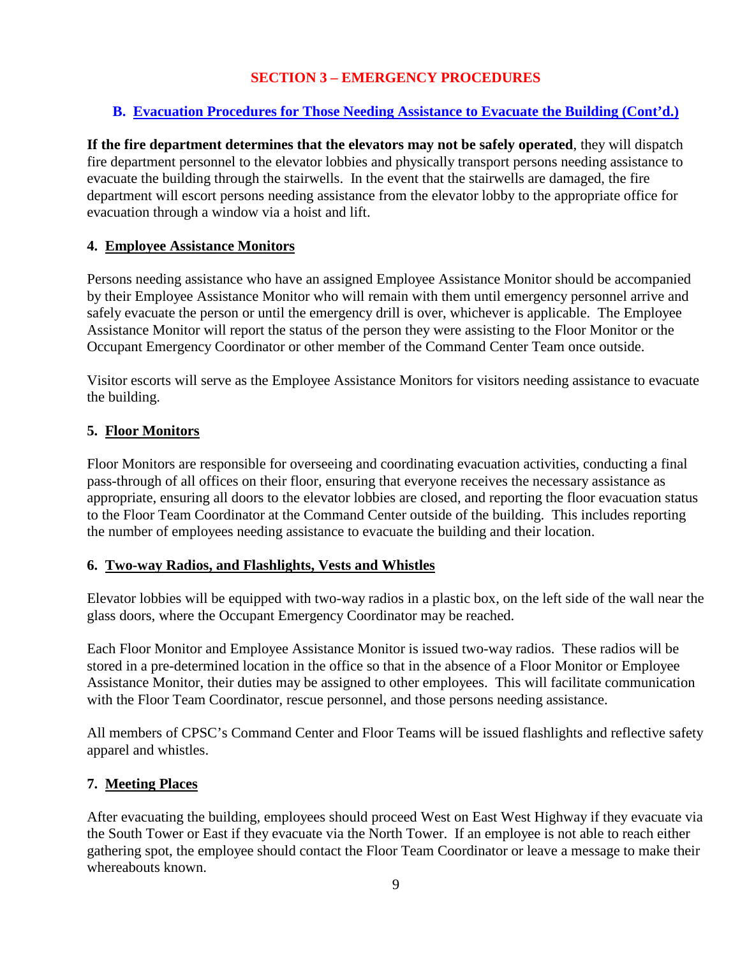# **B. Evacuation Procedures for Those Needing Assistance to Evacuate the Building (Cont'd.)**

**If the fire department determines that the elevators may not be safely operated**, they will dispatch fire department personnel to the elevator lobbies and physically transport persons needing assistance to evacuate the building through the stairwells. In the event that the stairwells are damaged, the fire department will escort persons needing assistance from the elevator lobby to the appropriate office for evacuation through a window via a hoist and lift.

# **4. Employee Assistance Monitors**

Persons needing assistance who have an assigned Employee Assistance Monitor should be accompanied by their Employee Assistance Monitor who will remain with them until emergency personnel arrive and safely evacuate the person or until the emergency drill is over, whichever is applicable. The Employee Assistance Monitor will report the status of the person they were assisting to the Floor Monitor or the Occupant Emergency Coordinator or other member of the Command Center Team once outside.

Visitor escorts will serve as the Employee Assistance Monitors for visitors needing assistance to evacuate the building.

# **5. Floor Monitors**

Floor Monitors are responsible for overseeing and coordinating evacuation activities, conducting a final pass-through of all offices on their floor, ensuring that everyone receives the necessary assistance as appropriate, ensuring all doors to the elevator lobbies are closed, and reporting the floor evacuation status to the Floor Team Coordinator at the Command Center outside of the building. This includes reporting the number of employees needing assistance to evacuate the building and their location.

## **6. Two-way Radios, and Flashlights, Vests and Whistles**

Elevator lobbies will be equipped with two-way radios in a plastic box, on the left side of the wall near the glass doors, where the Occupant Emergency Coordinator may be reached.

Each Floor Monitor and Employee Assistance Monitor is issued two-way radios. These radios will be stored in a pre-determined location in the office so that in the absence of a Floor Monitor or Employee Assistance Monitor, their duties may be assigned to other employees. This will facilitate communication with the Floor Team Coordinator, rescue personnel, and those persons needing assistance.

All members of CPSC's Command Center and Floor Teams will be issued flashlights and reflective safety apparel and whistles.

## **7. Meeting Places**

After evacuating the building, employees should proceed West on East West Highway if they evacuate via the South Tower or East if they evacuate via the North Tower. If an employee is not able to reach either gathering spot, the employee should contact the Floor Team Coordinator or leave a message to make their whereabouts known.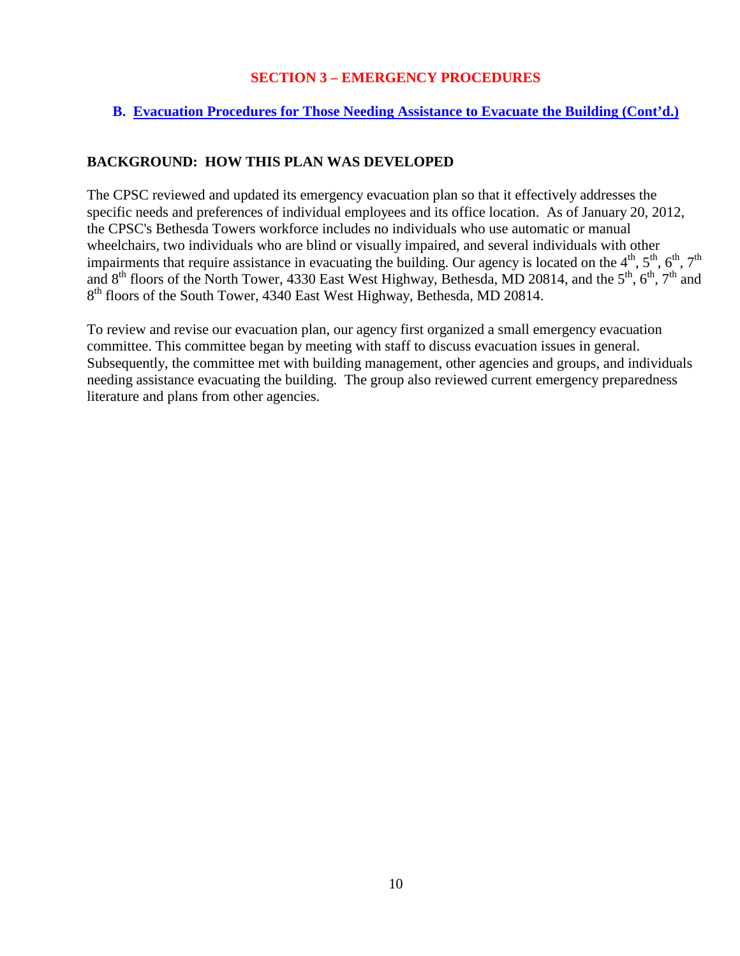## **B. Evacuation Procedures for Those Needing Assistance to Evacuate the Building (Cont'd.)**

# **BACKGROUND: HOW THIS PLAN WAS DEVELOPED**

The CPSC reviewed and updated its emergency evacuation plan so that it effectively addresses the specific needs and preferences of individual employees and its office location. As of January 20, 2012, the CPSC's Bethesda Towers workforce includes no individuals who use automatic or manual wheelchairs, two individuals who are blind or visually impaired, and several individuals with other impairments that require assistance in evacuating the building. Our agency is located on the  $4^{th}$ ,  $5^{th}$ ,  $6^{th}$ ,  $7^{th}$ and  $8<sup>th</sup>$  floors of the North Tower, 4330 East West Highway, Bethesda, MD 20814, and the  $5<sup>th</sup>$ ,  $6<sup>th</sup>$ ,  $7<sup>th</sup>$  and 8<sup>th</sup> floors of the South Tower, 4340 East West Highway, Bethesda, MD 20814.

To review and revise our evacuation plan, our agency first organized a small emergency evacuation committee. This committee began by meeting with staff to discuss evacuation issues in general. Subsequently, the committee met with building management, other agencies and groups, and individuals needing assistance evacuating the building. The group also reviewed current emergency preparedness literature and plans from other agencies.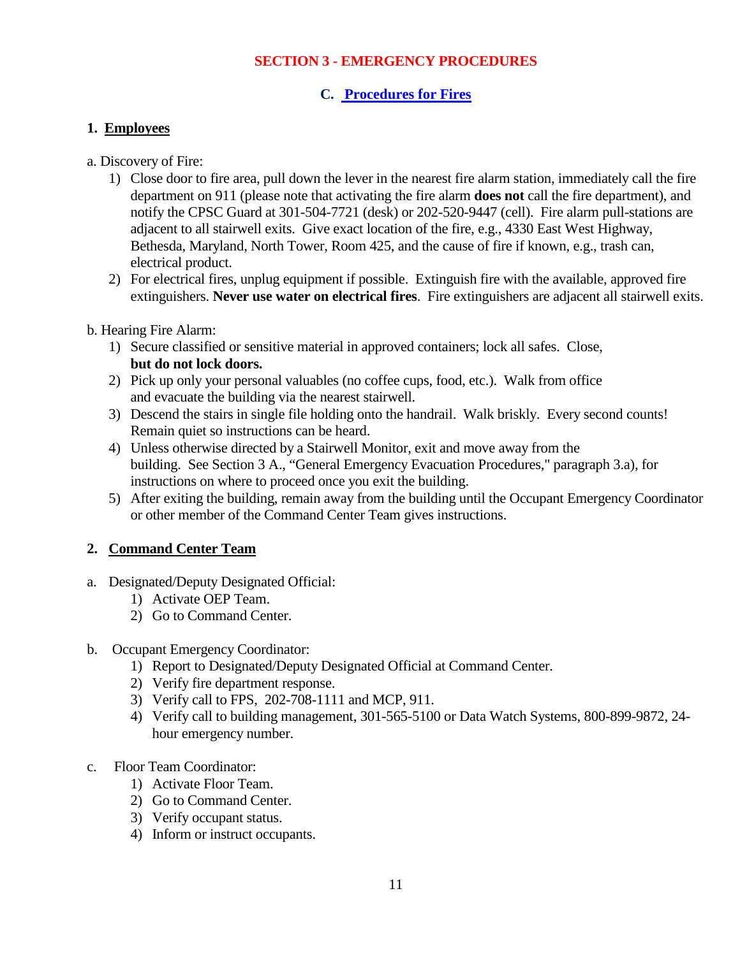#### **C. Procedures for Fires**

#### **1. Employees**

#### a. Discovery of Fire:

- 1) Close door to fire area, pull down the lever in the nearest fire alarm station, immediately call the fire department on 911 (please note that activating the fire alarm **does not** call the fire department), and notify the CPSC Guard at 301-504-7721 (desk) or 202-520-9447 (cell). Fire alarm pull-stations are adjacent to all stairwell exits. Give exact location of the fire, e.g., 4330 East West Highway, Bethesda, Maryland, North Tower, Room 425, and the cause of fire if known, e.g., trash can, electrical product.
- 2) For electrical fires, unplug equipment if possible. Extinguish fire with the available, approved fire extinguishers. **Never use water on electrical fires**. Fire extinguishers are adjacent all stairwell exits.

#### b. Hearing Fire Alarm:

- 1) Secure classified or sensitive material in approved containers; lock all safes. Close, **but do not lock doors.**
- 2) Pick up only your personal valuables (no coffee cups, food, etc.). Walk from office and evacuate the building via the nearest stairwell.
- 3) Descend the stairs in single file holding onto the handrail. Walk briskly. Every second counts! Remain quiet so instructions can be heard.
- 4) Unless otherwise directed by a Stairwell Monitor, exit and move away from the building. See Section 3 A., "General Emergency Evacuation Procedures," paragraph 3.a), for instructions on where to proceed once you exit the building.
- 5) After exiting the building, remain away from the building until the Occupant Emergency Coordinator or other member of the Command Center Team gives instructions.

## **2. Command Center Team**

- a. Designated/Deputy Designated Official:
	- 1) Activate OEP Team.
	- 2) Go to Command Center.
- b. Occupant Emergency Coordinator:
	- 1) Report to Designated/Deputy Designated Official at Command Center.
	- 2) Verify fire department response.
	- 3) Verify call to FPS, 202-708-1111 and MCP, 911.
	- 4) Verify call to building management, 301-565-5100 or Data Watch Systems, 800-899-9872, 24 hour emergency number.
- c. Floor Team Coordinator:
	- 1) Activate Floor Team.
	- 2) Go to Command Center.
	- 3) Verify occupant status.
	- 4) Inform or instruct occupants.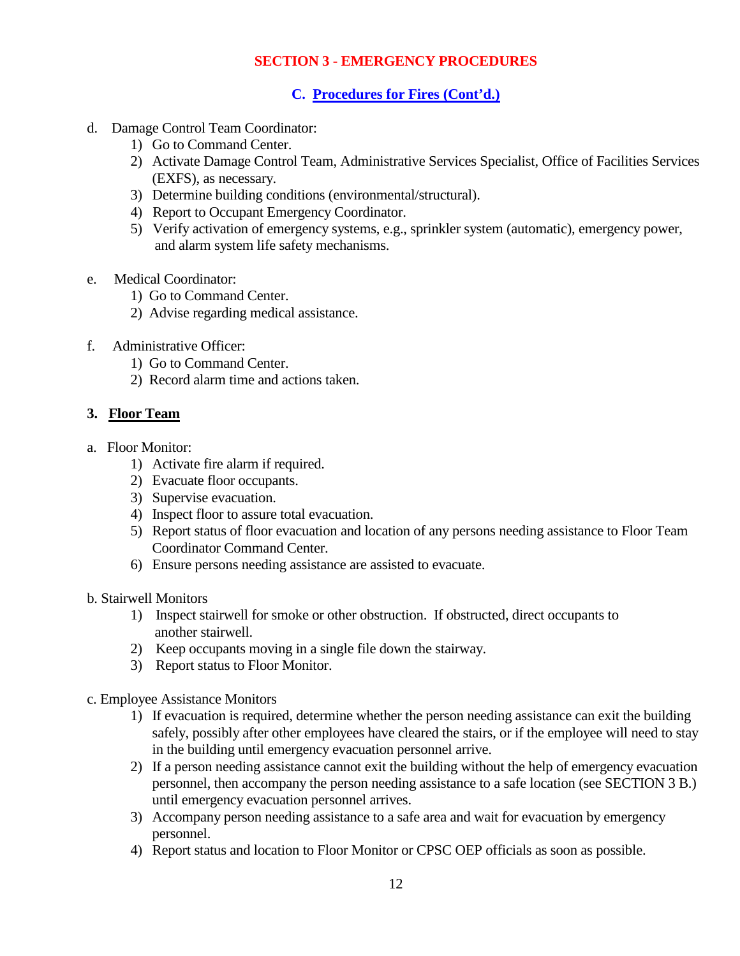# **C. Procedures for Fires (Cont'd.)**

- d. Damage Control Team Coordinator:
	- 1) Go to Command Center.
	- 2) Activate Damage Control Team, Administrative Services Specialist, Office of Facilities Services (EXFS), as necessary.
	- 3) Determine building conditions (environmental/structural).
	- 4) Report to Occupant Emergency Coordinator.
	- 5) Verify activation of emergency systems, e.g., sprinkler system (automatic), emergency power, and alarm system life safety mechanisms.
- e. Medical Coordinator:
	- 1) Go to Command Center.
	- 2) Advise regarding medical assistance.
- f. Administrative Officer:
	- 1) Go to Command Center.
	- 2) Record alarm time and actions taken.

#### **3. Floor Team**

- a. Floor Monitor:
	- 1) Activate fire alarm if required.
	- 2) Evacuate floor occupants.
	- 3) Supervise evacuation.
	- 4) Inspect floor to assure total evacuation.
	- 5) Report status of floor evacuation and location of any persons needing assistance to Floor Team Coordinator Command Center.
	- 6) Ensure persons needing assistance are assisted to evacuate.
- b. Stairwell Monitors
	- 1) Inspect stairwell for smoke or other obstruction. If obstructed, direct occupants to another stairwell.
	- 2) Keep occupants moving in a single file down the stairway.
	- 3) Report status to Floor Monitor.
- c. Employee Assistance Monitors
	- 1) If evacuation is required, determine whether the person needing assistance can exit the building safely, possibly after other employees have cleared the stairs, or if the employee will need to stay in the building until emergency evacuation personnel arrive.
	- 2) If a person needing assistance cannot exit the building without the help of emergency evacuation personnel, then accompany the person needing assistance to a safe location (see SECTION 3 B.) until emergency evacuation personnel arrives.
	- 3) Accompany person needing assistance to a safe area and wait for evacuation by emergency personnel.
	- 4) Report status and location to Floor Monitor or CPSC OEP officials as soon as possible.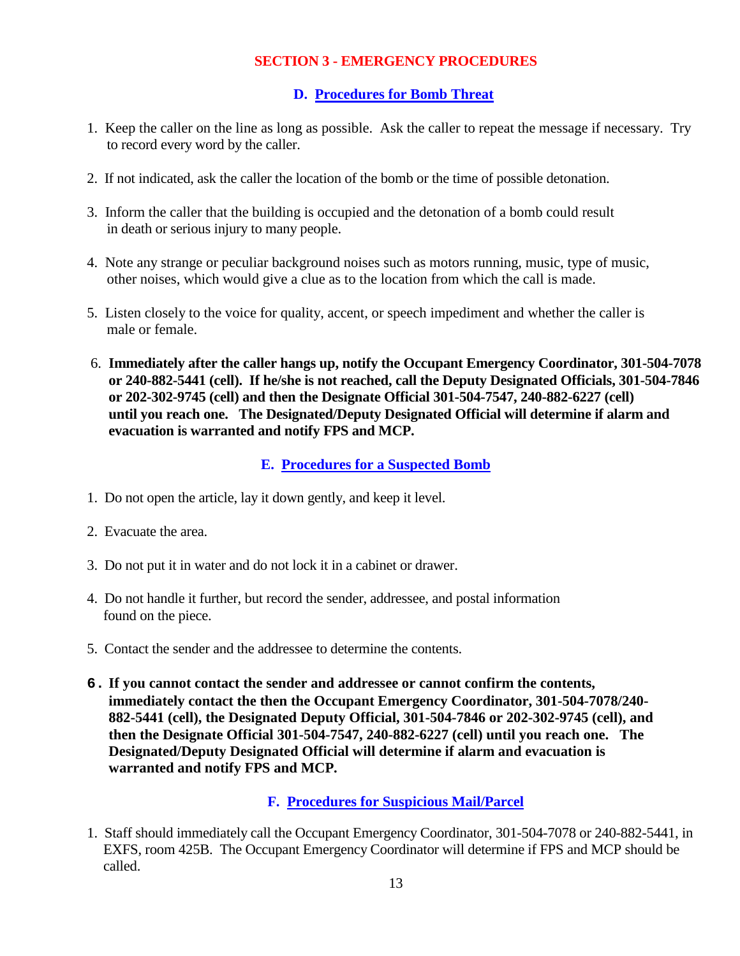## **D. Procedures for Bomb Threat**

- 1. Keep the caller on the line as long as possible. Ask the caller to repeat the message if necessary. Try to record every word by the caller.
- 2. If not indicated, ask the caller the location of the bomb or the time of possible detonation.
- 3. Inform the caller that the building is occupied and the detonation of a bomb could result in death or serious injury to many people.
- 4. Note any strange or peculiar background noises such as motors running, music, type of music, other noises, which would give a clue as to the location from which the call is made.
- 5. Listen closely to the voice for quality, accent, or speech impediment and whether the caller is male or female.
- 6. **Immediately after the caller hangs up, notify the Occupant Emergency Coordinator, 301-504-7078 or 240-882-5441 (cell). If he/she is not reached, call the Deputy Designated Officials, 301-504-7846 or 202-302-9745 (cell) and then the Designate Official 301-504-7547, 240-882-6227 (cell) until you reach one. The Designated/Deputy Designated Official will determine if alarm and evacuation is warranted and notify FPS and MCP.**

# **E. Procedures for a Suspected Bomb**

- 1. Do not open the article, lay it down gently, and keep it level.
- 2. Evacuate the area.
- 3. Do not put it in water and do not lock it in a cabinet or drawer.
- 4. Do not handle it further, but record the sender, addressee, and postal information found on the piece.
- 5. Contact the sender and the addressee to determine the contents.
- **6. If you cannot contact the sender and addressee or cannot confirm the contents, immediately contact the then the Occupant Emergency Coordinator, 301-504-7078/240- 882-5441 (cell), the Designated Deputy Official, 301-504-7846 or 202-302-9745 (cell), and then the Designate Official 301-504-7547, 240-882-6227 (cell) until you reach one. The Designated/Deputy Designated Official will determine if alarm and evacuation is warranted and notify FPS and MCP.**

## **F. Procedures for Suspicious Mail/Parcel**

1. Staff should immediately call the Occupant Emergency Coordinator, 301-504-7078 or 240-882-5441, in EXFS, room 425B. The Occupant Emergency Coordinator will determine if FPS and MCP should be called.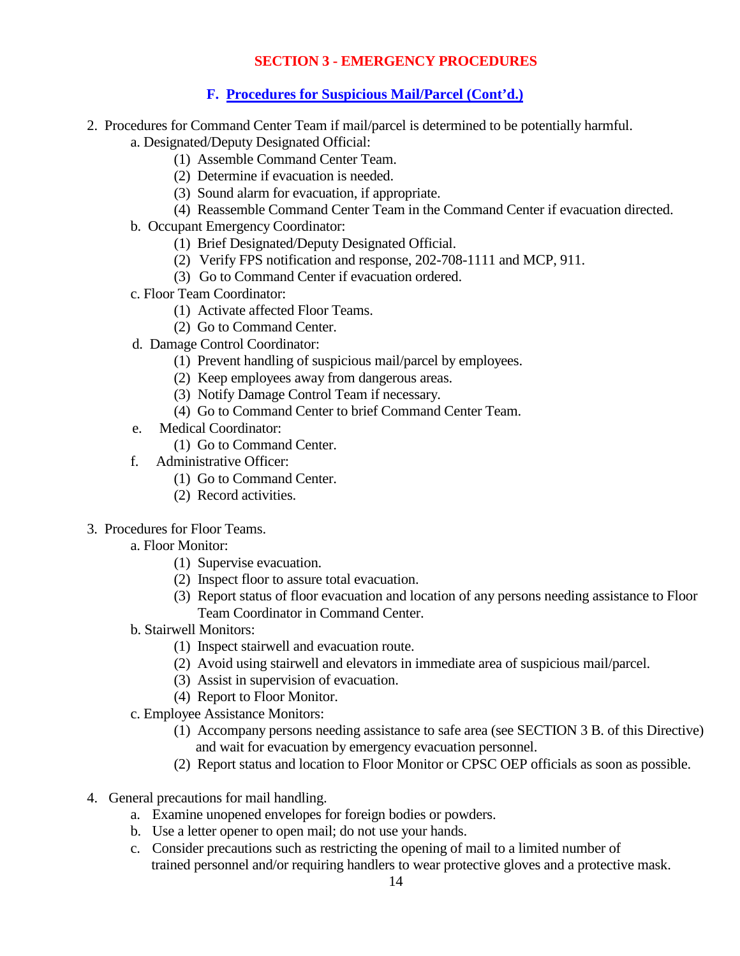## **F. Procedures for Suspicious Mail/Parcel (Cont'd.)**

- 2. Procedures for Command Center Team if mail/parcel is determined to be potentially harmful.
	- a. Designated/Deputy Designated Official:
		- (1) Assemble Command Center Team.
		- (2) Determine if evacuation is needed.
		- (3) Sound alarm for evacuation, if appropriate.
		- (4) Reassemble Command Center Team in the Command Center if evacuation directed.
	- b. Occupant Emergency Coordinator:
		- (1) Brief Designated/Deputy Designated Official.
		- (2) Verify FPS notification and response, 202-708-1111 and MCP, 911.
		- (3) Go to Command Center if evacuation ordered.
	- c. Floor Team Coordinator:
		- (1) Activate affected Floor Teams.
		- (2) Go to Command Center.
	- d. Damage Control Coordinator:
		- (1) Prevent handling of suspicious mail/parcel by employees.
		- (2) Keep employees away from dangerous areas.
		- (3) Notify Damage Control Team if necessary.
		- (4) Go to Command Center to brief Command Center Team.
	- e. Medical Coordinator:
		- (1) Go to Command Center.
	- f. Administrative Officer:
		- (1) Go to Command Center.
		- (2) Record activities.
- 3. Procedures for Floor Teams.
	- a. Floor Monitor:
		- (1) Supervise evacuation.
		- (2) Inspect floor to assure total evacuation.
		- (3) Report status of floor evacuation and location of any persons needing assistance to Floor Team Coordinator in Command Center.
	- b. Stairwell Monitors:
		- (1) Inspect stairwell and evacuation route.
		- (2) Avoid using stairwell and elevators in immediate area of suspicious mail/parcel.
		- (3) Assist in supervision of evacuation.
		- (4) Report to Floor Monitor.
	- c. Employee Assistance Monitors:
		- (1) Accompany persons needing assistance to safe area (see SECTION 3 B. of this Directive) and wait for evacuation by emergency evacuation personnel.
		- (2) Report status and location to Floor Monitor or CPSC OEP officials as soon as possible.
- 4. General precautions for mail handling.
	- a. Examine unopened envelopes for foreign bodies or powders.
	- b. Use a letter opener to open mail; do not use your hands.
	- c. Consider precautions such as restricting the opening of mail to a limited number of trained personnel and/or requiring handlers to wear protective gloves and a protective mask.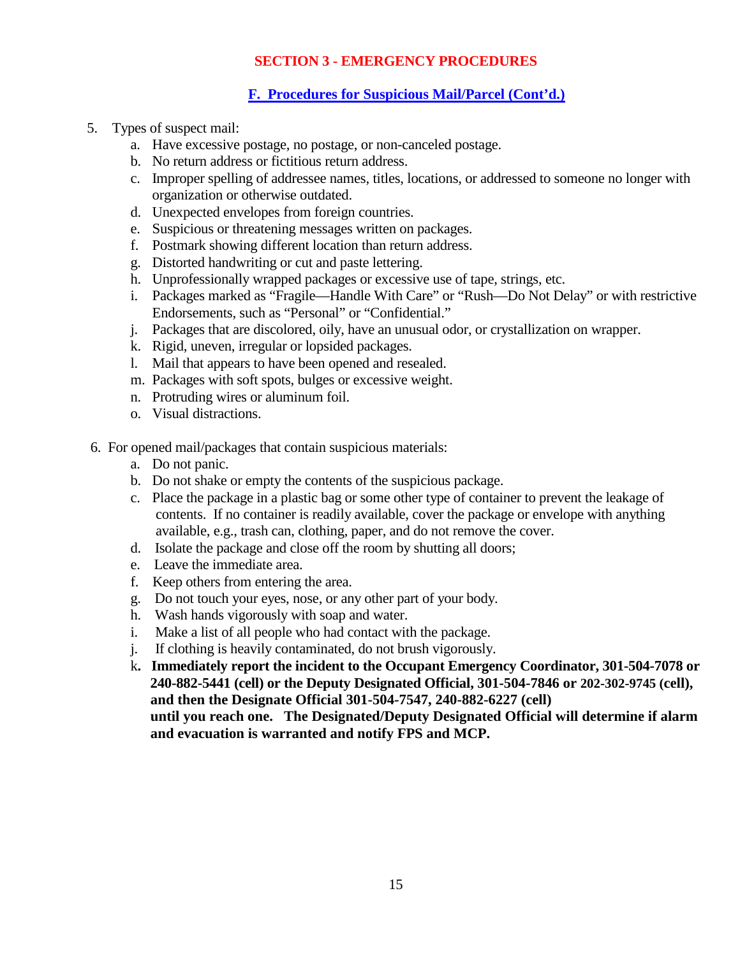# **F. Procedures for Suspicious Mail/Parcel (Cont'd.)**

- 5. Types of suspect mail:
	- a. Have excessive postage, no postage, or non-canceled postage.
	- b. No return address or fictitious return address.
	- c. Improper spelling of addressee names, titles, locations, or addressed to someone no longer with organization or otherwise outdated.
	- d. Unexpected envelopes from foreign countries.
	- e. Suspicious or threatening messages written on packages.
	- f. Postmark showing different location than return address.
	- g. Distorted handwriting or cut and paste lettering.
	- h. Unprofessionally wrapped packages or excessive use of tape, strings, etc.
	- i. Packages marked as "Fragile—Handle With Care" or "Rush—Do Not Delay" or with restrictive Endorsements, such as "Personal" or "Confidential."
	- j. Packages that are discolored, oily, have an unusual odor, or crystallization on wrapper.
	- k. Rigid, uneven, irregular or lopsided packages.
	- l. Mail that appears to have been opened and resealed.
	- m. Packages with soft spots, bulges or excessive weight.
	- n. Protruding wires or aluminum foil.
	- o. Visual distractions.
- 6. For opened mail/packages that contain suspicious materials:
	- a. Do not panic.
	- b. Do not shake or empty the contents of the suspicious package.
	- c. Place the package in a plastic bag or some other type of container to prevent the leakage of contents. If no container is readily available, cover the package or envelope with anything available, e.g., trash can, clothing, paper, and do not remove the cover.
	- d. Isolate the package and close off the room by shutting all doors;
	- e. Leave the immediate area.
	- f. Keep others from entering the area.
	- g. Do not touch your eyes, nose, or any other part of your body.
	- h. Wash hands vigorously with soap and water.
	- i. Make a list of all people who had contact with the package.
	- j. If clothing is heavily contaminated, do not brush vigorously.
	- k**. Immediately report the incident to the Occupant Emergency Coordinator, 301-504-7078 or 240-882-5441 (cell) or the Deputy Designated Official, 301-504-7846 or 202-302-9745 (cell), and then the Designate Official 301-504-7547, 240-882-6227 (cell) until you reach one. The Designated/Deputy Designated Official will determine if alarm**

**and evacuation is warranted and notify FPS and MCP.**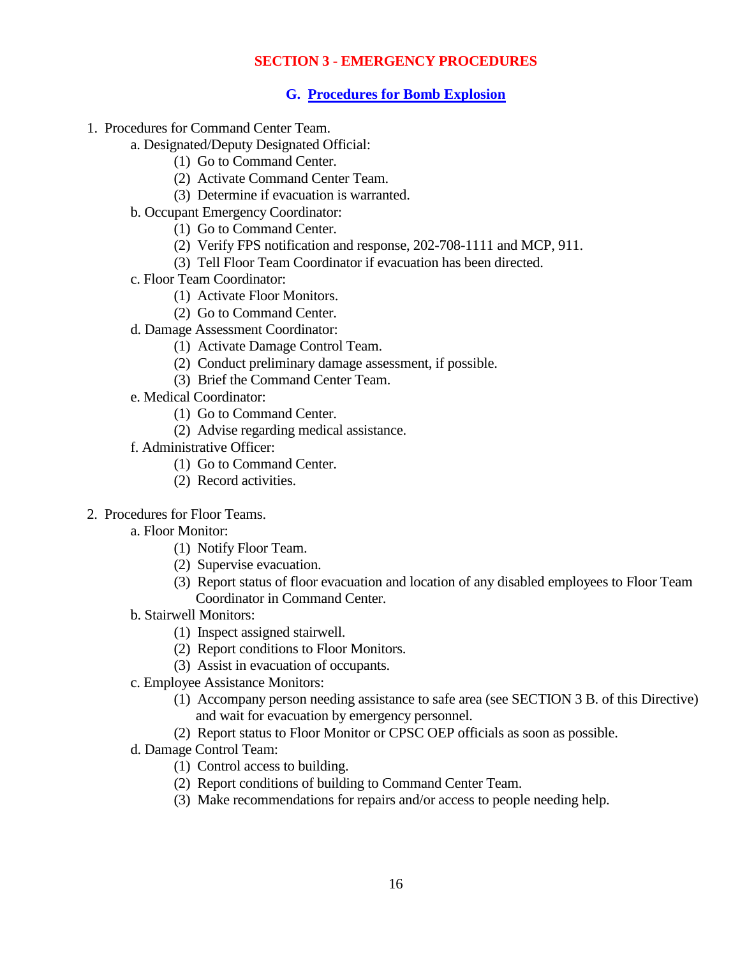#### **G. Procedures for Bomb Explosion**

- 1. Procedures for Command Center Team.
	- a. Designated/Deputy Designated Official:
		- (1) Go to Command Center.
		- (2) Activate Command Center Team.
		- (3) Determine if evacuation is warranted.
	- b. Occupant Emergency Coordinator:
		- (1) Go to Command Center.
		- (2) Verify FPS notification and response, 202-708-1111 and MCP, 911.
		- (3) Tell Floor Team Coordinator if evacuation has been directed.
	- c. Floor Team Coordinator:
		- (1) Activate Floor Monitors.
		- (2) Go to Command Center.
	- d. Damage Assessment Coordinator:
		- (1) Activate Damage Control Team.
		- (2) Conduct preliminary damage assessment, if possible.
		- (3) Brief the Command Center Team.
	- e. Medical Coordinator:
		- (1) Go to Command Center.
		- (2) Advise regarding medical assistance.
	- f. Administrative Officer:
		- (1) Go to Command Center.
		- (2) Record activities.
- 2. Procedures for Floor Teams.
	- a. Floor Monitor:
		- (1) Notify Floor Team.
		- (2) Supervise evacuation.
		- (3) Report status of floor evacuation and location of any disabled employees to Floor Team Coordinator in Command Center.
	- b. Stairwell Monitors:
		- (1) Inspect assigned stairwell.
		- (2) Report conditions to Floor Monitors.
		- (3) Assist in evacuation of occupants.
	- c. Employee Assistance Monitors:
		- (1) Accompany person needing assistance to safe area (see SECTION 3 B. of this Directive) and wait for evacuation by emergency personnel.
		- (2) Report status to Floor Monitor or CPSC OEP officials as soon as possible.
	- d. Damage Control Team:
		- (1) Control access to building.
		- (2) Report conditions of building to Command Center Team.
		- (3) Make recommendations for repairs and/or access to people needing help.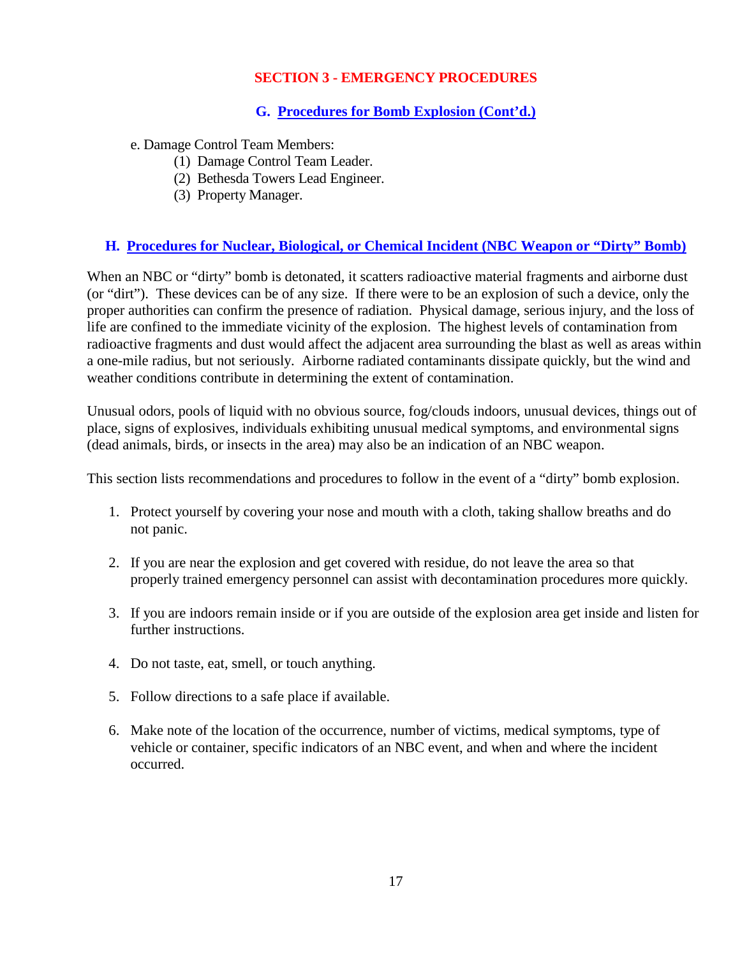# **G. Procedures for Bomb Explosion (Cont'd.)**

e. Damage Control Team Members:

- (1) Damage Control Team Leader.
- (2) Bethesda Towers Lead Engineer.
- (3) Property Manager.

# **H. Procedures for Nuclear, Biological, or Chemical Incident (NBC Weapon or "Dirty" Bomb)**

When an NBC or "dirty" bomb is detonated, it scatters radioactive material fragments and airborne dust (or "dirt"). These devices can be of any size. If there were to be an explosion of such a device, only the proper authorities can confirm the presence of radiation. Physical damage, serious injury, and the loss of life are confined to the immediate vicinity of the explosion. The highest levels of contamination from radioactive fragments and dust would affect the adjacent area surrounding the blast as well as areas within a one-mile radius, but not seriously. Airborne radiated contaminants dissipate quickly, but the wind and weather conditions contribute in determining the extent of contamination.

Unusual odors, pools of liquid with no obvious source, fog/clouds indoors, unusual devices, things out of place, signs of explosives, individuals exhibiting unusual medical symptoms, and environmental signs (dead animals, birds, or insects in the area) may also be an indication of an NBC weapon.

This section lists recommendations and procedures to follow in the event of a "dirty" bomb explosion.

- 1. Protect yourself by covering your nose and mouth with a cloth, taking shallow breaths and do not panic.
- 2. If you are near the explosion and get covered with residue, do not leave the area so that properly trained emergency personnel can assist with decontamination procedures more quickly.
- 3. If you are indoors remain inside or if you are outside of the explosion area get inside and listen for further instructions.
- 4. Do not taste, eat, smell, or touch anything.
- 5. Follow directions to a safe place if available.
- 6. Make note of the location of the occurrence, number of victims, medical symptoms, type of vehicle or container, specific indicators of an NBC event, and when and where the incident occurred.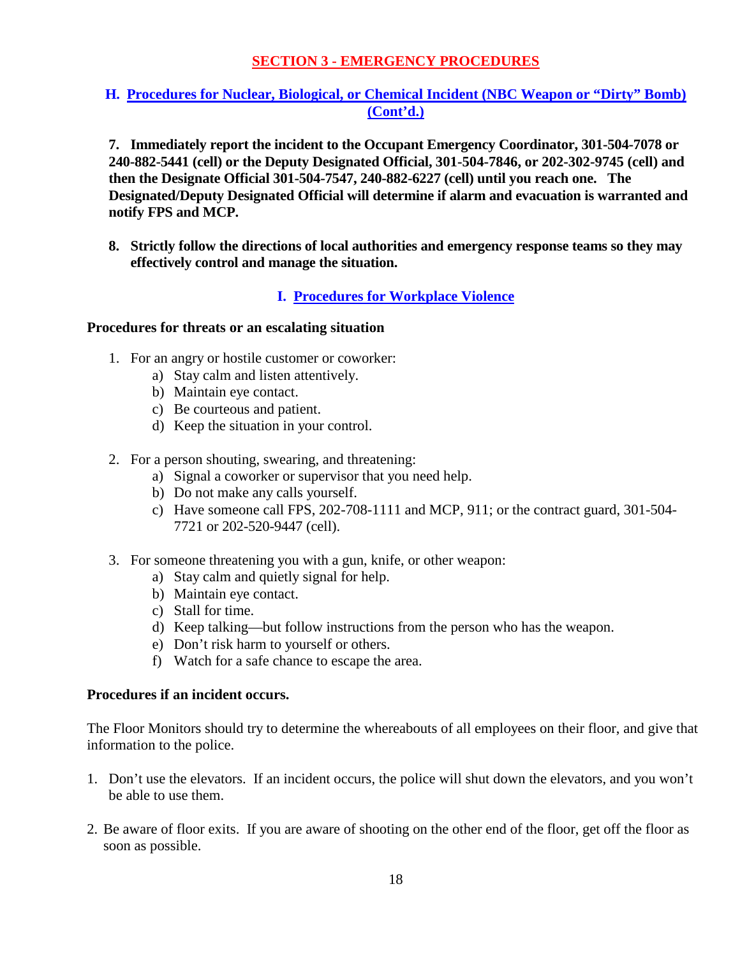# **H. Procedures for Nuclear, Biological, or Chemical Incident (NBC Weapon or "Dirty" Bomb) (Cont'd.)**

**7. Immediately report the incident to the Occupant Emergency Coordinator, 301-504-7078 or 240-882-5441 (cell) or the Deputy Designated Official, 301-504-7846, or 202-302-9745 (cell) and then the Designate Official 301-504-7547, 240-882-6227 (cell) until you reach one. The Designated/Deputy Designated Official will determine if alarm and evacuation is warranted and notify FPS and MCP.**

**8. Strictly follow the directions of local authorities and emergency response teams so they may effectively control and manage the situation.**

# **I. Procedures for Workplace Violence**

#### **Procedures for threats or an escalating situation**

- 1. For an angry or hostile customer or coworker:
	- a) Stay calm and listen attentively.
	- b) Maintain eye contact.
	- c) Be courteous and patient.
	- d) Keep the situation in your control.
- 2. For a person shouting, swearing, and threatening:
	- a) Signal a coworker or supervisor that you need help.
	- b) Do not make any calls yourself.
	- c) Have someone call FPS, 202-708-1111 and MCP, 911; or the contract guard, 301-504- 7721 or 202-520-9447 (cell).
- 3. For someone threatening you with a gun, knife, or other weapon:
	- a) Stay calm and quietly signal for help.
	- b) Maintain eye contact.
	- c) Stall for time.
	- d) Keep talking—but follow instructions from the person who has the weapon.
	- e) Don't risk harm to yourself or others.
	- f) Watch for a safe chance to escape the area.

#### **Procedures if an incident occurs.**

The Floor Monitors should try to determine the whereabouts of all employees on their floor, and give that information to the police.

- 1. Don't use the elevators. If an incident occurs, the police will shut down the elevators, and you won't be able to use them.
- 2. Be aware of floor exits. If you are aware of shooting on the other end of the floor, get off the floor as soon as possible.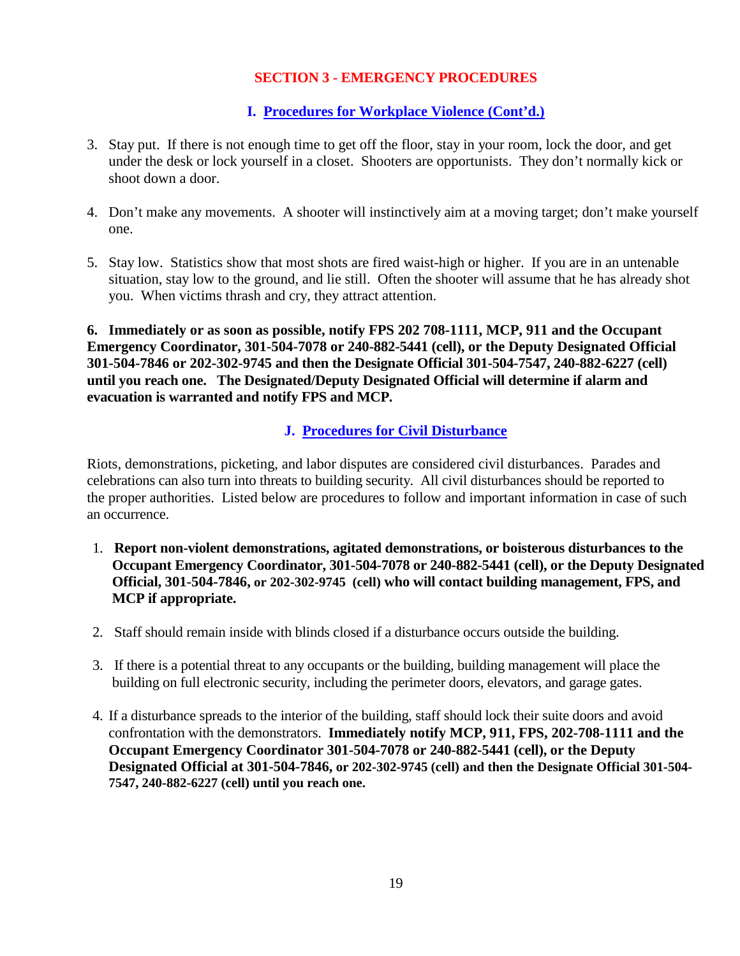# **I. Procedures for Workplace Violence (Cont'd.)**

- 3. Stay put. If there is not enough time to get off the floor, stay in your room, lock the door, and get under the desk or lock yourself in a closet. Shooters are opportunists. They don't normally kick or shoot down a door.
- 4. Don't make any movements. A shooter will instinctively aim at a moving target; don't make yourself one.
- 5. Stay low. Statistics show that most shots are fired waist-high or higher. If you are in an untenable situation, stay low to the ground, and lie still. Often the shooter will assume that he has already shot you. When victims thrash and cry, they attract attention.

**6. Immediately or as soon as possible, notify FPS 202 708-1111, MCP, 911 and the Occupant Emergency Coordinator, 301-504-7078 or 240-882-5441 (cell), or the Deputy Designated Official 301-504-7846 or 202-302-9745 and then the Designate Official 301-504-7547, 240-882-6227 (cell) until you reach one. The Designated/Deputy Designated Official will determine if alarm and evacuation is warranted and notify FPS and MCP.**

# **J. Procedures for Civil Disturbance**

Riots, demonstrations, picketing, and labor disputes are considered civil disturbances. Parades and celebrations can also turn into threats to building security. All civil disturbances should be reported to the proper authorities. Listed below are procedures to follow and important information in case of such an occurrence.

- 1. **Report non-violent demonstrations, agitated demonstrations, or boisterous disturbances to the Occupant Emergency Coordinator, 301-504-7078 or 240-882-5441 (cell), or the Deputy Designated Official, 301-504-7846, or 202-302-9745 (cell) who will contact building management, FPS, and MCP if appropriate.**
- 2. Staff should remain inside with blinds closed if a disturbance occurs outside the building.
- 3. If there is a potential threat to any occupants or the building, building management will place the building on full electronic security, including the perimeter doors, elevators, and garage gates.
- 4. If a disturbance spreads to the interior of the building, staff should lock their suite doors and avoid confrontation with the demonstrators. **Immediately notify MCP, 911, FPS, 202-708-1111 and the Occupant Emergency Coordinator 301-504-7078 or 240-882-5441 (cell), or the Deputy Designated Official at 301-504-7846, or 202-302-9745 (cell) and then the Designate Official 301-504- 7547, 240-882-6227 (cell) until you reach one.**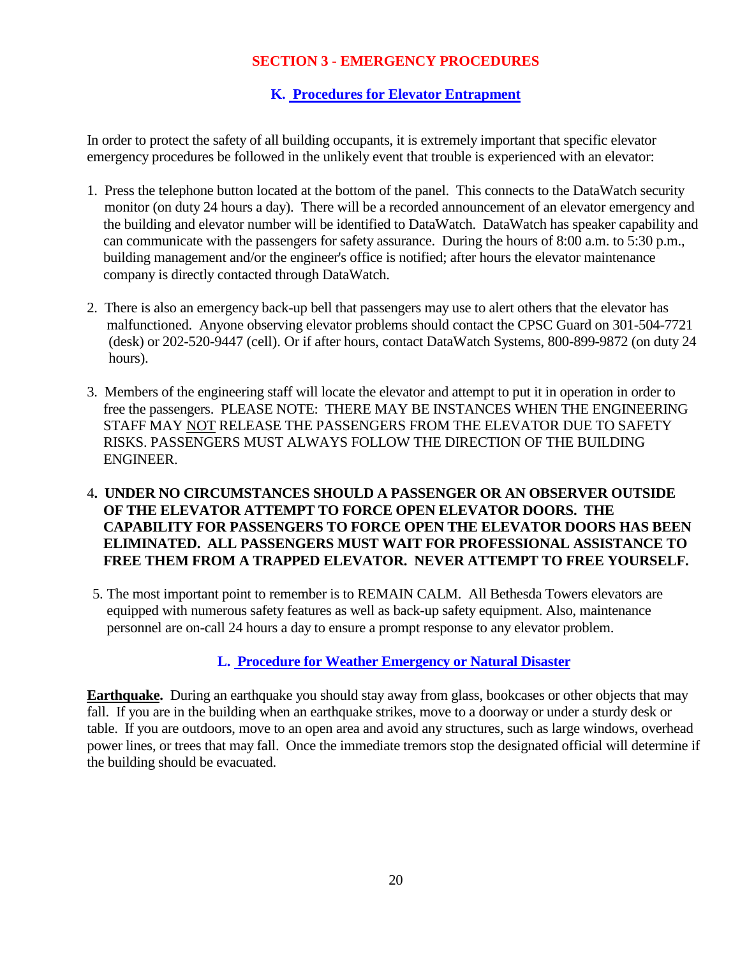## **K. Procedures for Elevator Entrapment**

In order to protect the safety of all building occupants, it is extremely important that specific elevator emergency procedures be followed in the unlikely event that trouble is experienced with an elevator:

- 1. Press the telephone button located at the bottom of the panel. This connects to the DataWatch security monitor (on duty 24 hours a day). There will be a recorded announcement of an elevator emergency and the building and elevator number will be identified to DataWatch. DataWatch has speaker capability and can communicate with the passengers for safety assurance. During the hours of 8:00 a.m. to 5:30 p.m., building management and/or the engineer's office is notified; after hours the elevator maintenance company is directly contacted through DataWatch.
- 2. There is also an emergency back-up bell that passengers may use to alert others that the elevator has malfunctioned. Anyone observing elevator problems should contact the CPSC Guard on 301-504-7721 (desk) or 202-520-9447 (cell). Or if after hours, contact DataWatch Systems, 800-899-9872 (on duty 24 hours).
- 3. Members of the engineering staff will locate the elevator and attempt to put it in operation in order to free the passengers. PLEASE NOTE: THERE MAY BE INSTANCES WHEN THE ENGINEERING STAFF MAY NOT RELEASE THE PASSENGERS FROM THE ELEVATOR DUE TO SAFETY RISKS. PASSENGERS MUST ALWAYS FOLLOW THE DIRECTION OF THE BUILDING ENGINEER.
- 4**. UNDER NO CIRCUMSTANCES SHOULD A PASSENGER OR AN OBSERVER OUTSIDE OF THE ELEVATOR ATTEMPT TO FORCE OPEN ELEVATOR DOORS. THE CAPABILITY FOR PASSENGERS TO FORCE OPEN THE ELEVATOR DOORS HAS BEEN ELIMINATED. ALL PASSENGERS MUST WAIT FOR PROFESSIONAL ASSISTANCE TO FREE THEM FROM A TRAPPED ELEVATOR. NEVER ATTEMPT TO FREE YOURSELF.**
- 5. The most important point to remember is to REMAIN CALM. All Bethesda Towers elevators are equipped with numerous safety features as well as back-up safety equipment. Also, maintenance personnel are on-call 24 hours a day to ensure a prompt response to any elevator problem.

## **L. Procedure for Weather Emergency or Natural Disaster**

**Earthquake.** During an earthquake you should stay away from glass, bookcases or other objects that may fall. If you are in the building when an earthquake strikes, move to a doorway or under a sturdy desk or table. If you are outdoors, move to an open area and avoid any structures, such as large windows, overhead power lines, or trees that may fall. Once the immediate tremors stop the designated official will determine if the building should be evacuated.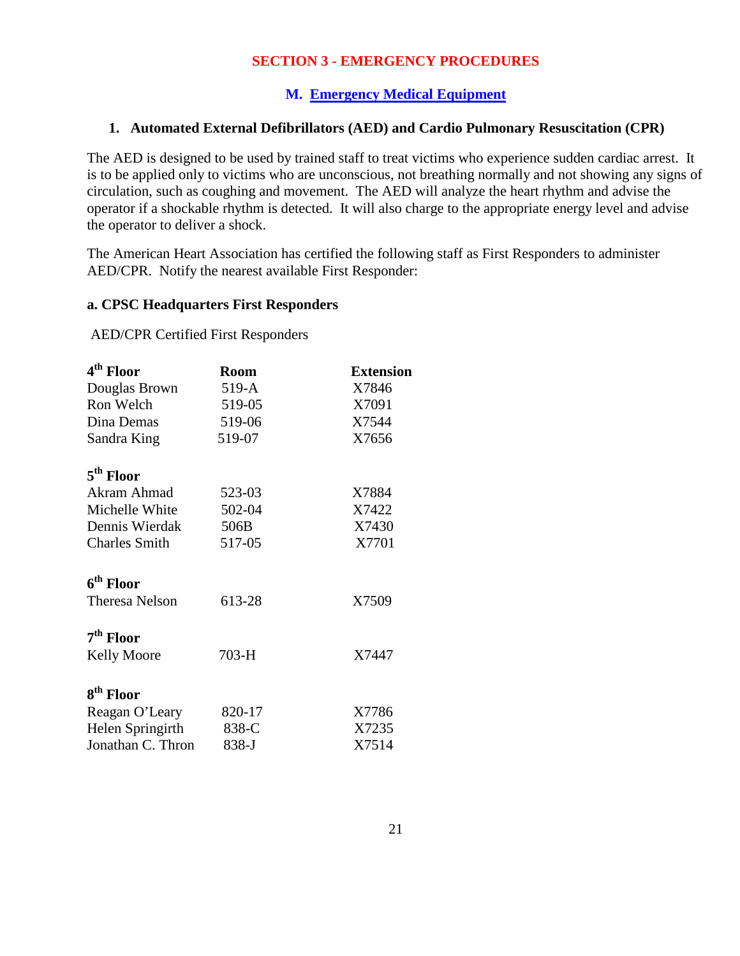#### **M. Emergency Medical Equipment**

#### **1. Automated External Defibrillators (AED) and Cardio Pulmonary Resuscitation (CPR)**

The AED is designed to be used by trained staff to treat victims who experience sudden cardiac arrest. It is to be applied only to victims who are unconscious, not breathing normally and not showing any signs of circulation, such as coughing and movement. The AED will analyze the heart rhythm and advise the operator if a shockable rhythm is detected. It will also charge to the appropriate energy level and advise the operator to deliver a shock.

The American Heart Association has certified the following staff as First Responders to administer AED/CPR. Notify the nearest available First Responder:

#### **a. CPSC Headquarters First Responders**

AED/CPR Certified First Responders

| 4 <sup>th</sup> Floor | <b>Room</b> | <b>Extension</b> |  |
|-----------------------|-------------|------------------|--|
| Douglas Brown         | $519-A$     | X7846            |  |
| Ron Welch             | 519-05      | X7091            |  |
| Dina Demas            | 519-06      | X7544            |  |
| Sandra King           | 519-07      | X7656            |  |
| 5 <sup>th</sup> Floor |             |                  |  |
| Akram Ahmad           | 523-03      | X7884            |  |
| Michelle White        | 502-04      | X7422            |  |
| Dennis Wierdak        | 506B        | X7430            |  |
| <b>Charles Smith</b>  | 517-05      | X7701            |  |
| 6 <sup>th</sup> Floor |             |                  |  |
| <b>Theresa Nelson</b> | 613-28      | X7509            |  |
| 7 <sup>th</sup> Floor |             |                  |  |
| <b>Kelly Moore</b>    | $703-H$     | X7447            |  |
| 8 <sup>th</sup> Floor |             |                  |  |
| Reagan O'Leary        | 820-17      | X7786            |  |
| Helen Springirth      | 838-C       | X7235            |  |
| Jonathan C. Thron     | 838-J       | X7514            |  |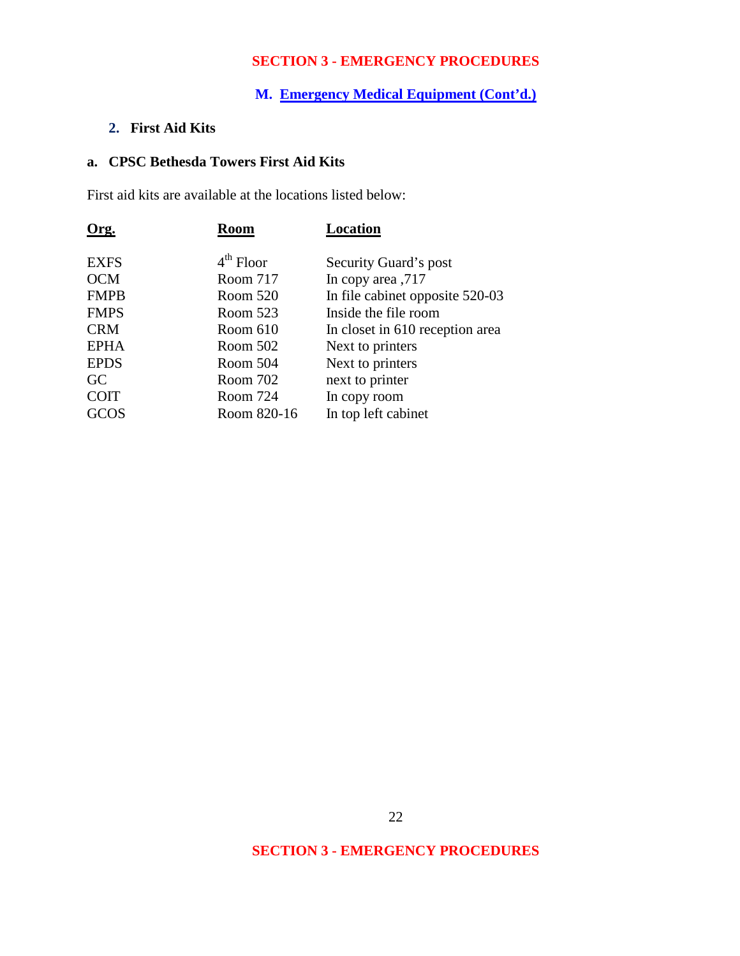# **M. Emergency Medical Equipment (Cont'd.)**

# **2. First Aid Kits**

## **a. CPSC Bethesda Towers First Aid Kits**

First aid kits are available at the locations listed below:

| Org.        | <b>Room</b> | Location                        |
|-------------|-------------|---------------------------------|
| <b>EXFS</b> | $4th$ Floor | Security Guard's post           |
| <b>OCM</b>  | Room 717    | In copy area, 717               |
| <b>FMPB</b> | Room 520    | In file cabinet opposite 520-03 |
| <b>FMPS</b> | Room 523    | Inside the file room            |
| <b>CRM</b>  | Room 610    | In closet in 610 reception area |
| <b>EPHA</b> | Room 502    | Next to printers                |
| <b>EPDS</b> | Room 504    | Next to printers                |
| GC          | Room 702    | next to printer                 |
| <b>COIT</b> | Room 724    | In copy room                    |
| GCOS        | Room 820-16 | In top left cabinet             |

# **SECTION 3 - EMERGENCY PROCEDURES**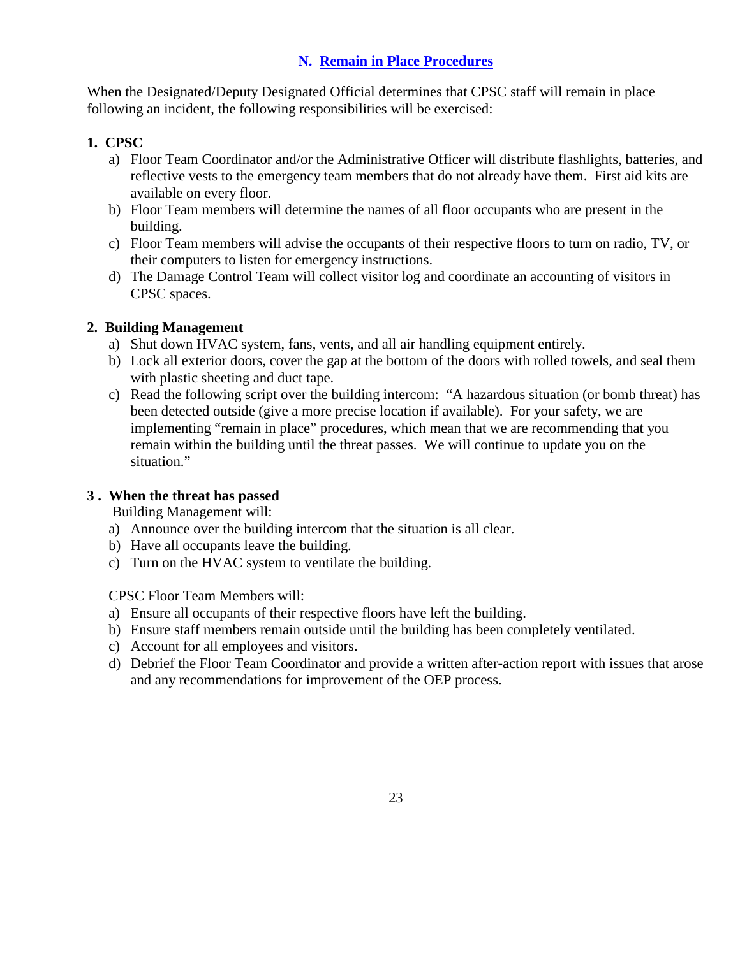# **N. Remain in Place Procedures**

When the Designated/Deputy Designated Official determines that CPSC staff will remain in place following an incident, the following responsibilities will be exercised:

# **1. CPSC**

- a) Floor Team Coordinator and/or the Administrative Officer will distribute flashlights, batteries, and reflective vests to the emergency team members that do not already have them. First aid kits are available on every floor.
- b) Floor Team members will determine the names of all floor occupants who are present in the building.
- c) Floor Team members will advise the occupants of their respective floors to turn on radio, TV, or their computers to listen for emergency instructions.
- d) The Damage Control Team will collect visitor log and coordinate an accounting of visitors in CPSC spaces.

## **2. Building Management**

- a) Shut down HVAC system, fans, vents, and all air handling equipment entirely.
- b) Lock all exterior doors, cover the gap at the bottom of the doors with rolled towels, and seal them with plastic sheeting and duct tape.
- c) Read the following script over the building intercom: "A hazardous situation (or bomb threat) has been detected outside (give a more precise location if available). For your safety, we are implementing "remain in place" procedures, which mean that we are recommending that you remain within the building until the threat passes. We will continue to update you on the situation."

# **3 . When the threat has passed**

Building Management will:

- a) Announce over the building intercom that the situation is all clear.
- b) Have all occupants leave the building.
- c) Turn on the HVAC system to ventilate the building.

CPSC Floor Team Members will:

- a) Ensure all occupants of their respective floors have left the building.
- b) Ensure staff members remain outside until the building has been completely ventilated.
- c) Account for all employees and visitors.
- d) Debrief the Floor Team Coordinator and provide a written after-action report with issues that arose and any recommendations for improvement of the OEP process.